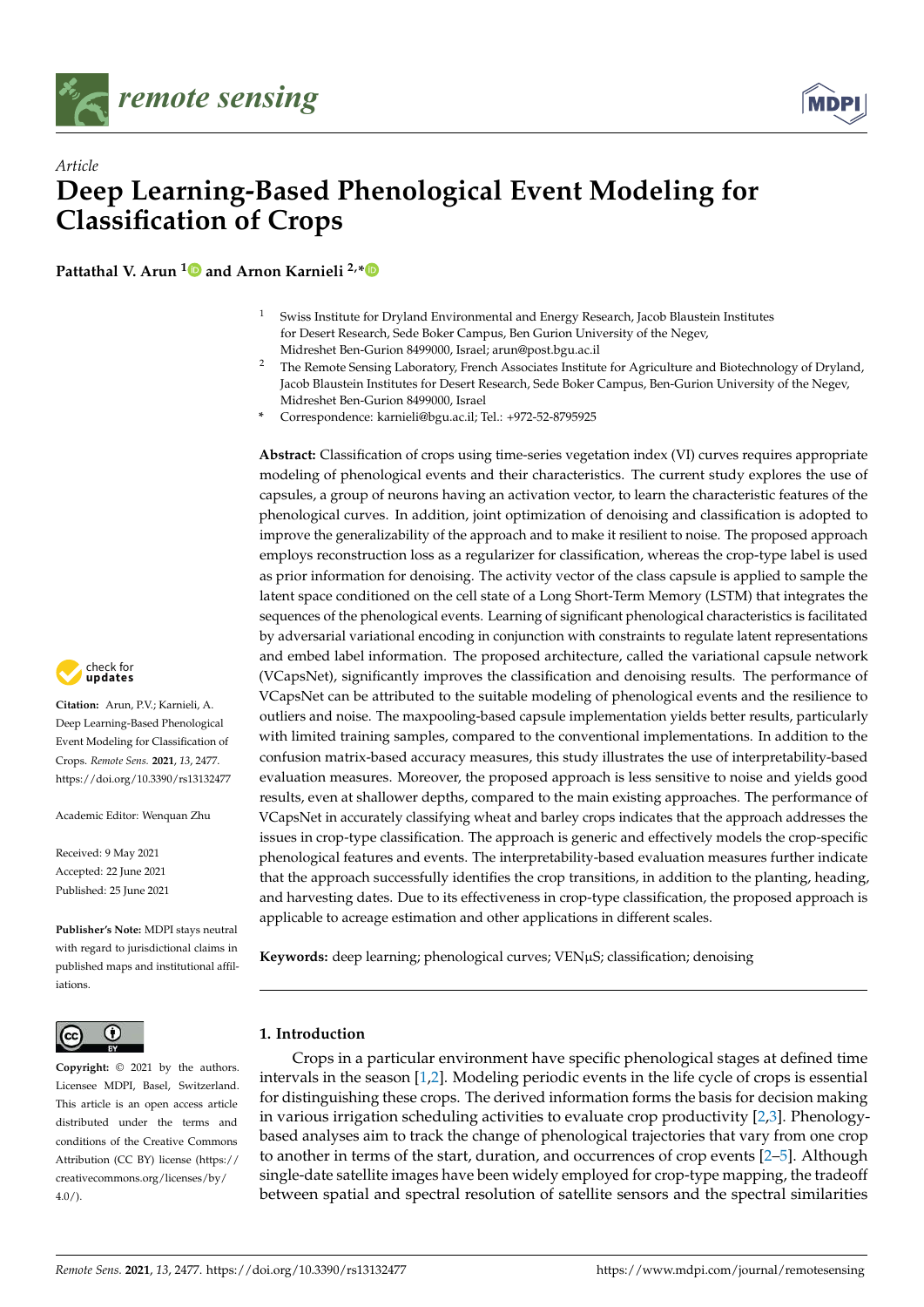



# *Article* **Deep Learning-Based Phenological Event Modeling for Classification of Crops**

**Pattathal V. Arun [1](https://orcid.org/0000-0002-8624-5708) and Arnon Karnieli 2,[\\*](https://orcid.org/0000-0001-8065-9793)**

- Swiss Institute for Dryland Environmental and Energy Research, Jacob Blaustein Institutes for Desert Research, Sede Boker Campus, Ben Gurion University of the Negev, Midreshet Ben-Gurion 8499000, Israel; arun@post.bgu.ac.il
- <sup>2</sup> The Remote Sensing Laboratory, French Associates Institute for Agriculture and Biotechnology of Dryland, Jacob Blaustein Institutes for Desert Research, Sede Boker Campus, Ben-Gurion University of the Negev, Midreshet Ben-Gurion 8499000, Israel
- **\*** Correspondence: karnieli@bgu.ac.il; Tel.: +972-52-8795925

**Abstract:** Classification of crops using time-series vegetation index (VI) curves requires appropriate modeling of phenological events and their characteristics. The current study explores the use of capsules, a group of neurons having an activation vector, to learn the characteristic features of the phenological curves. In addition, joint optimization of denoising and classification is adopted to improve the generalizability of the approach and to make it resilient to noise. The proposed approach employs reconstruction loss as a regularizer for classification, whereas the crop-type label is used as prior information for denoising. The activity vector of the class capsule is applied to sample the latent space conditioned on the cell state of a Long Short-Term Memory (LSTM) that integrates the sequences of the phenological events. Learning of significant phenological characteristics is facilitated by adversarial variational encoding in conjunction with constraints to regulate latent representations and embed label information. The proposed architecture, called the variational capsule network (VCapsNet), significantly improves the classification and denoising results. The performance of VCapsNet can be attributed to the suitable modeling of phenological events and the resilience to outliers and noise. The maxpooling-based capsule implementation yields better results, particularly with limited training samples, compared to the conventional implementations. In addition to the confusion matrix-based accuracy measures, this study illustrates the use of interpretability-based evaluation measures. Moreover, the proposed approach is less sensitive to noise and yields good results, even at shallower depths, compared to the main existing approaches. The performance of VCapsNet in accurately classifying wheat and barley crops indicates that the approach addresses the issues in crop-type classification. The approach is generic and effectively models the crop-specific phenological features and events. The interpretability-based evaluation measures further indicate that the approach successfully identifies the crop transitions, in addition to the planting, heading, and harvesting dates. Due to its effectiveness in crop-type classification, the proposed approach is applicable to acreage estimation and other applications in different scales.

**Keywords:** deep learning; phenological curves; VENµS; classification; denoising

## **1. Introduction**

Crops in a particular environment have specific phenological stages at defined time intervals in the season [\[1](#page-18-0)[,2\]](#page-18-1). Modeling periodic events in the life cycle of crops is essential for distinguishing these crops. The derived information forms the basis for decision making in various irrigation scheduling activities to evaluate crop productivity [\[2](#page-18-1)[,3\]](#page-18-2). Phenologybased analyses aim to track the change of phenological trajectories that vary from one crop to another in terms of the start, duration, and occurrences of crop events [\[2–](#page-18-1)[5\]](#page-18-3). Although single-date satellite images have been widely employed for crop-type mapping, the tradeoff between spatial and spectral resolution of satellite sensors and the spectral similarities



**Citation:** Arun, P.V.; Karnieli, A. Deep Learning-Based Phenological Event Modeling for Classification of Crops. *Remote Sens.* **2021**, *13*, 2477. <https://doi.org/10.3390/rs13132477>

Academic Editor: Wenquan Zhu

Received: 9 May 2021 Accepted: 22 June 2021 Published: 25 June 2021

**Publisher's Note:** MDPI stays neutral with regard to jurisdictional claims in published maps and institutional affiliations.



**Copyright:** © 2021 by the authors. Licensee MDPI, Basel, Switzerland. This article is an open access article distributed under the terms and conditions of the Creative Commons Attribution (CC BY) license (https:/[/](https://creativecommons.org/licenses/by/4.0/) [creativecommons.org/licenses/by/](https://creativecommons.org/licenses/by/4.0/)  $4.0/$ ).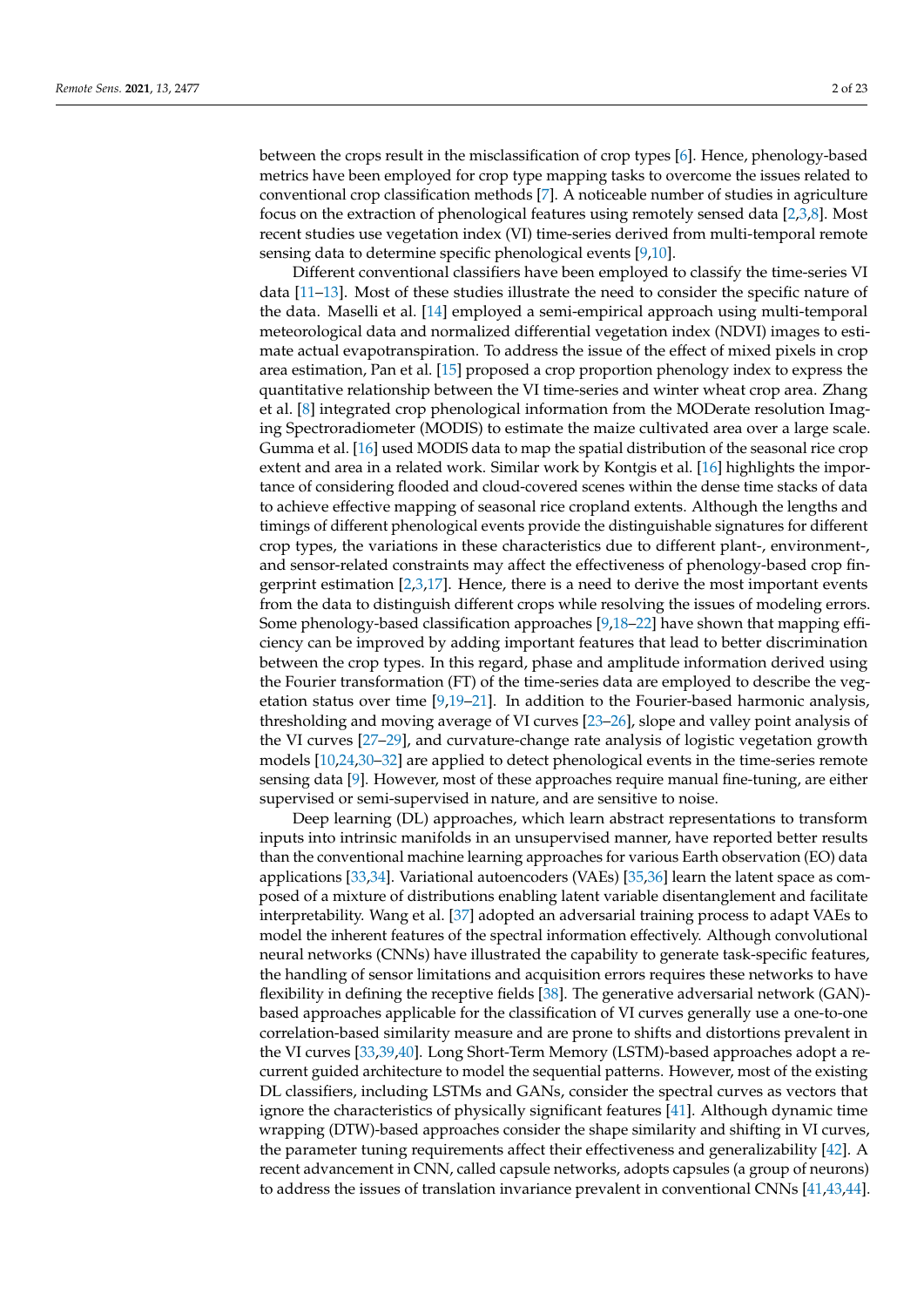between the crops result in the misclassification of crop types [\[6\]](#page-18-4). Hence, phenology-based metrics have been employed for crop type mapping tasks to overcome the issues related to conventional crop classification methods [\[7\]](#page-18-5). A noticeable number of studies in agriculture focus on the extraction of phenological features using remotely sensed data [\[2](#page-18-1)[,3,](#page-18-2)[8\]](#page-19-0). Most recent studies use vegetation index (VI) time-series derived from multi-temporal remote sensing data to determine specific phenological events [\[9](#page-19-1)[,10\]](#page-19-2).

Different conventional classifiers have been employed to classify the time-series VI data [\[11](#page-19-3)[–13\]](#page-19-4). Most of these studies illustrate the need to consider the specific nature of the data. Maselli et al. [\[14\]](#page-19-5) employed a semi-empirical approach using multi-temporal meteorological data and normalized differential vegetation index (NDVI) images to estimate actual evapotranspiration. To address the issue of the effect of mixed pixels in crop area estimation, Pan et al. [\[15\]](#page-19-6) proposed a crop proportion phenology index to express the quantitative relationship between the VI time-series and winter wheat crop area. Zhang et al. [\[8\]](#page-19-0) integrated crop phenological information from the MODerate resolution Imaging Spectroradiometer (MODIS) to estimate the maize cultivated area over a large scale. Gumma et al. [\[16\]](#page-19-7) used MODIS data to map the spatial distribution of the seasonal rice crop extent and area in a related work. Similar work by Kontgis et al. [\[16\]](#page-19-7) highlights the importance of considering flooded and cloud-covered scenes within the dense time stacks of data to achieve effective mapping of seasonal rice cropland extents. Although the lengths and timings of different phenological events provide the distinguishable signatures for different crop types, the variations in these characteristics due to different plant-, environment-, and sensor-related constraints may affect the effectiveness of phenology-based crop fingerprint estimation [\[2](#page-18-1)[,3](#page-18-2)[,17\]](#page-19-8). Hence, there is a need to derive the most important events from the data to distinguish different crops while resolving the issues of modeling errors. Some phenology-based classification approaches [\[9,](#page-19-1)[18–](#page-19-9)[22\]](#page-19-10) have shown that mapping efficiency can be improved by adding important features that lead to better discrimination between the crop types. In this regard, phase and amplitude information derived using the Fourier transformation (FT) of the time-series data are employed to describe the vegetation status over time [\[9,](#page-19-1)[19](#page-19-11)[–21\]](#page-19-12). In addition to the Fourier-based harmonic analysis, thresholding and moving average of VI curves [\[23–](#page-19-13)[26\]](#page-19-14), slope and valley point analysis of the VI curves [\[27–](#page-19-15)[29\]](#page-19-16), and curvature-change rate analysis of logistic vegetation growth models [\[10,](#page-19-2)[24,](#page-19-17)[30](#page-19-18)[–32\]](#page-19-19) are applied to detect phenological events in the time-series remote sensing data [\[9\]](#page-19-1). However, most of these approaches require manual fine-tuning, are either supervised or semi-supervised in nature, and are sensitive to noise.

Deep learning (DL) approaches, which learn abstract representations to transform inputs into intrinsic manifolds in an unsupervised manner, have reported better results than the conventional machine learning approaches for various Earth observation (EO) data applications [\[33,](#page-19-20)[34\]](#page-19-21). Variational autoencoders (VAEs) [\[35](#page-19-22)[,36\]](#page-20-0) learn the latent space as composed of a mixture of distributions enabling latent variable disentanglement and facilitate interpretability. Wang et al. [\[37\]](#page-20-1) adopted an adversarial training process to adapt VAEs to model the inherent features of the spectral information effectively. Although convolutional neural networks (CNNs) have illustrated the capability to generate task-specific features, the handling of sensor limitations and acquisition errors requires these networks to have flexibility in defining the receptive fields [\[38\]](#page-20-2). The generative adversarial network (GAN) based approaches applicable for the classification of VI curves generally use a one-to-one correlation-based similarity measure and are prone to shifts and distortions prevalent in the VI curves [\[33](#page-19-20)[,39](#page-20-3)[,40\]](#page-20-4). Long Short-Term Memory (LSTM)-based approaches adopt a recurrent guided architecture to model the sequential patterns. However, most of the existing DL classifiers, including LSTMs and GANs, consider the spectral curves as vectors that ignore the characteristics of physically significant features [\[41\]](#page-20-5). Although dynamic time wrapping (DTW)-based approaches consider the shape similarity and shifting in VI curves, the parameter tuning requirements affect their effectiveness and generalizability [\[42\]](#page-20-6). A recent advancement in CNN, called capsule networks, adopts capsules (a group of neurons) to address the issues of translation invariance prevalent in conventional CNNs [\[41](#page-20-5)[,43,](#page-20-7)[44\]](#page-20-8).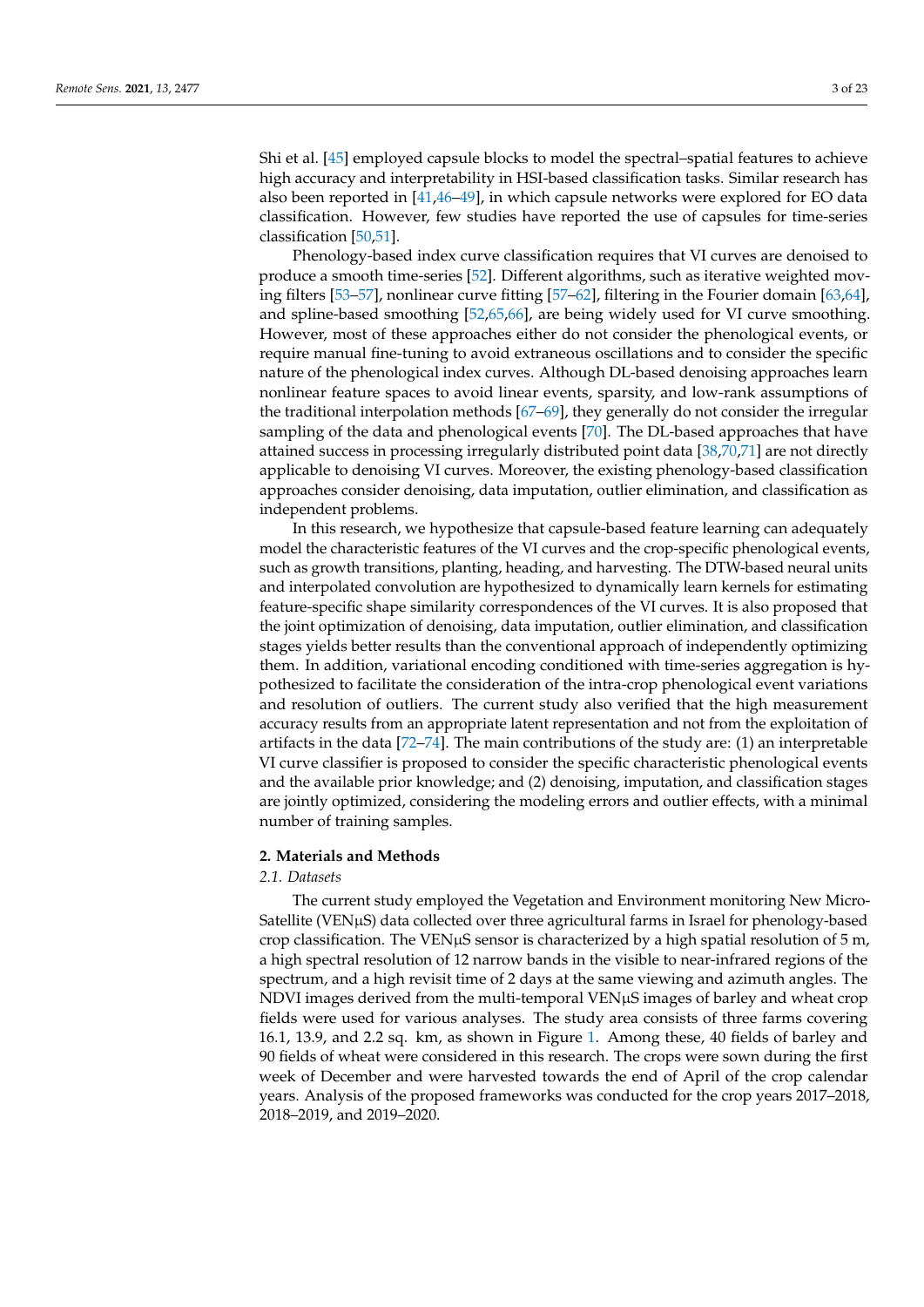Shi et al. [\[45\]](#page-20-9) employed capsule blocks to model the spectral–spatial features to achieve high accuracy and interpretability in HSI-based classification tasks. Similar research has also been reported in [\[41](#page-20-5)[,46](#page-20-10)[–49\]](#page-20-11), in which capsule networks were explored for EO data classification. However, few studies have reported the use of capsules for time-series classification [\[50](#page-20-12)[,51\]](#page-20-13).

Phenology-based index curve classification requires that VI curves are denoised to produce a smooth time-series [\[52\]](#page-20-14). Different algorithms, such as iterative weighted moving filters [\[53–](#page-20-15)[57\]](#page-20-16), nonlinear curve fitting [\[57–](#page-20-16)[62\]](#page-20-17), filtering in the Fourier domain [\[63,](#page-20-18)[64\]](#page-20-19), and spline-based smoothing [\[52](#page-20-14)[,65](#page-20-20)[,66\]](#page-21-0), are being widely used for VI curve smoothing. However, most of these approaches either do not consider the phenological events, or require manual fine-tuning to avoid extraneous oscillations and to consider the specific nature of the phenological index curves. Although DL-based denoising approaches learn nonlinear feature spaces to avoid linear events, sparsity, and low-rank assumptions of the traditional interpolation methods [\[67–](#page-21-1)[69\]](#page-21-2), they generally do not consider the irregular sampling of the data and phenological events [\[70\]](#page-21-3). The DL-based approaches that have attained success in processing irregularly distributed point data [\[38,](#page-20-2)[70](#page-21-3)[,71\]](#page-21-4) are not directly applicable to denoising VI curves. Moreover, the existing phenology-based classification approaches consider denoising, data imputation, outlier elimination, and classification as independent problems.

In this research, we hypothesize that capsule-based feature learning can adequately model the characteristic features of the VI curves and the crop-specific phenological events, such as growth transitions, planting, heading, and harvesting. The DTW-based neural units and interpolated convolution are hypothesized to dynamically learn kernels for estimating feature-specific shape similarity correspondences of the VI curves. It is also proposed that the joint optimization of denoising, data imputation, outlier elimination, and classification stages yields better results than the conventional approach of independently optimizing them. In addition, variational encoding conditioned with time-series aggregation is hypothesized to facilitate the consideration of the intra-crop phenological event variations and resolution of outliers. The current study also verified that the high measurement accuracy results from an appropriate latent representation and not from the exploitation of artifacts in the data [\[72–](#page-21-5)[74\]](#page-21-6). The main contributions of the study are: (1) an interpretable VI curve classifier is proposed to consider the specific characteristic phenological events and the available prior knowledge; and (2) denoising, imputation, and classification stages are jointly optimized, considering the modeling errors and outlier effects, with a minimal number of training samples.

### **2. Materials and Methods**

#### *2.1. Datasets*

The current study employed the Vegetation and Environment monitoring New Micro-Satellite (VENµS) data collected over three agricultural farms in Israel for phenology-based crop classification. The VEN $\mu$ S sensor is characterized by a high spatial resolution of 5 m, a high spectral resolution of 12 narrow bands in the visible to near-infrared regions of the spectrum, and a high revisit time of 2 days at the same viewing and azimuth angles. The NDVI images derived from the multi-temporal VENµS images of barley and wheat crop fields were used for various analyses. The study area consists of three farms covering 16.1, 13.9, and 2.2 sq. km, as shown in Figure [1.](#page-3-0) Among these, 40 fields of barley and 90 fields of wheat were considered in this research. The crops were sown during the first week of December and were harvested towards the end of April of the crop calendar years. Analysis of the proposed frameworks was conducted for the crop years 2017–2018, 2018–2019, and 2019–2020.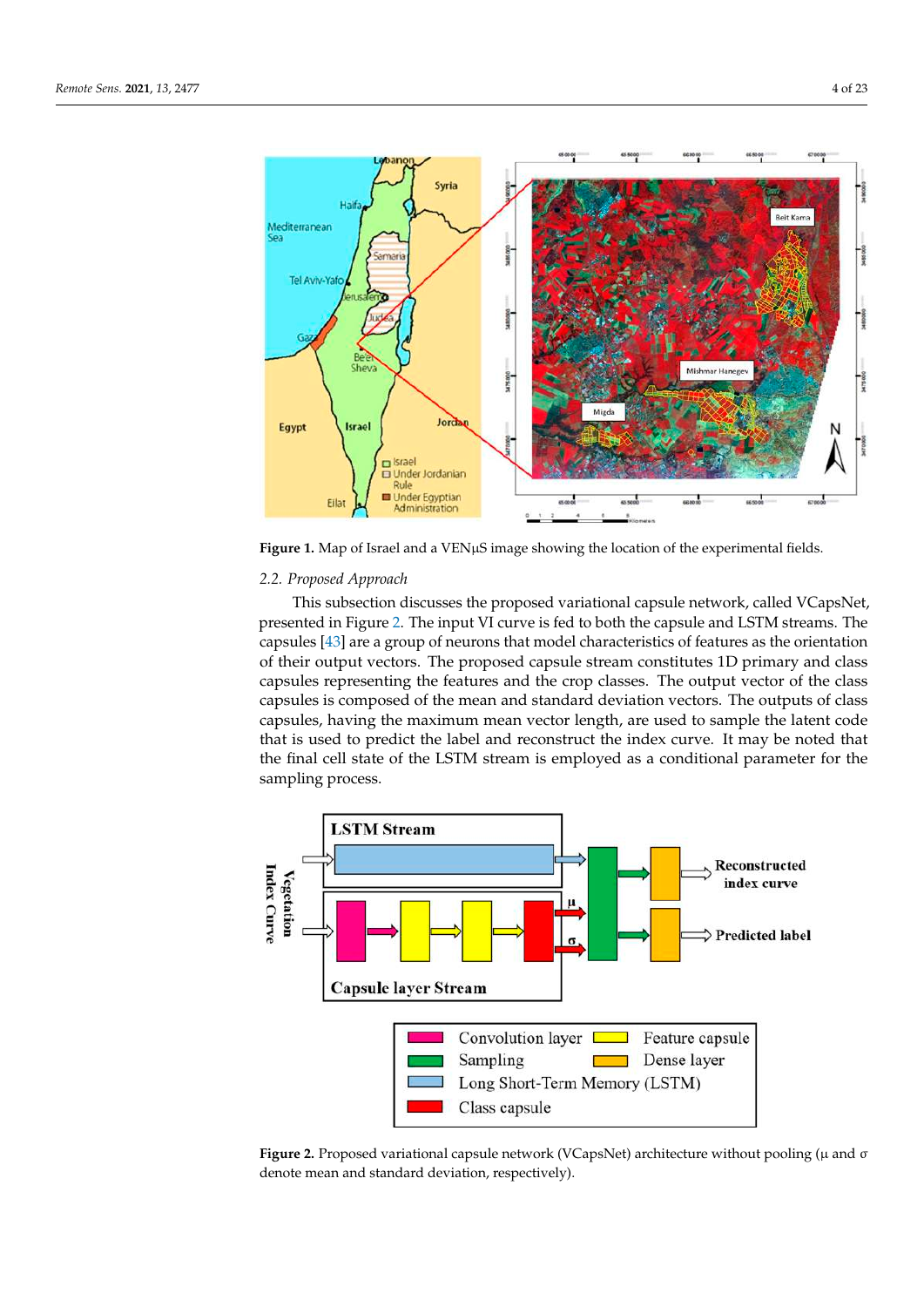<span id="page-3-0"></span>

Figure 1. Map of Israel and a VENµS image showing the location of the experimental fields.

# *2.2. Proposed Approach 2.2. Proposed Approach 2.2. Proposed Approach*

This subsection discusses the proposed variational capsule network, called VCapsNet,  $\frac{1}{2}$  and  $\frac{1}{2}$  in Figure 2. The input VI curve is fed to both the capsule and LSTM streams. The capsules [\[43\]](#page-20-7) are a group of neurons that model characteristics of features as the orientation vectors. The proposed capsule stream constitutes 1D primary and class capsules representing the features and the crop classes. The output vector of the class capsules, having the maximum mean vector length, are used to sample the latent code that is used to predict the label and reconstruct the index curve. It may be noted that predict the label that reconstruct the little curve. It may be noted that the final cell state of the LSTM stream is employed as a conditional parameter for the compline process.  $s_{\alpha}$  is a process. presented in [Fi](#page-3-1)gure 2. The input VI curve is fed to both the capsule and LSTM streams. The of their output vectors. The proposed capsule stream constitutes 1D primary and class capsules is composed of the mean and standard deviation vectors. The outputs of class sampling process. sampling process.

<span id="page-3-1"></span>

Figure 2. Proposed variational capsule network (VCapsNet) architecture without pooling ( $\mu$  and  $\sigma$ denote mean and standard deviation, respectively). denote mean and standard deviation, respectively). denote mean and standard deviation, respectively).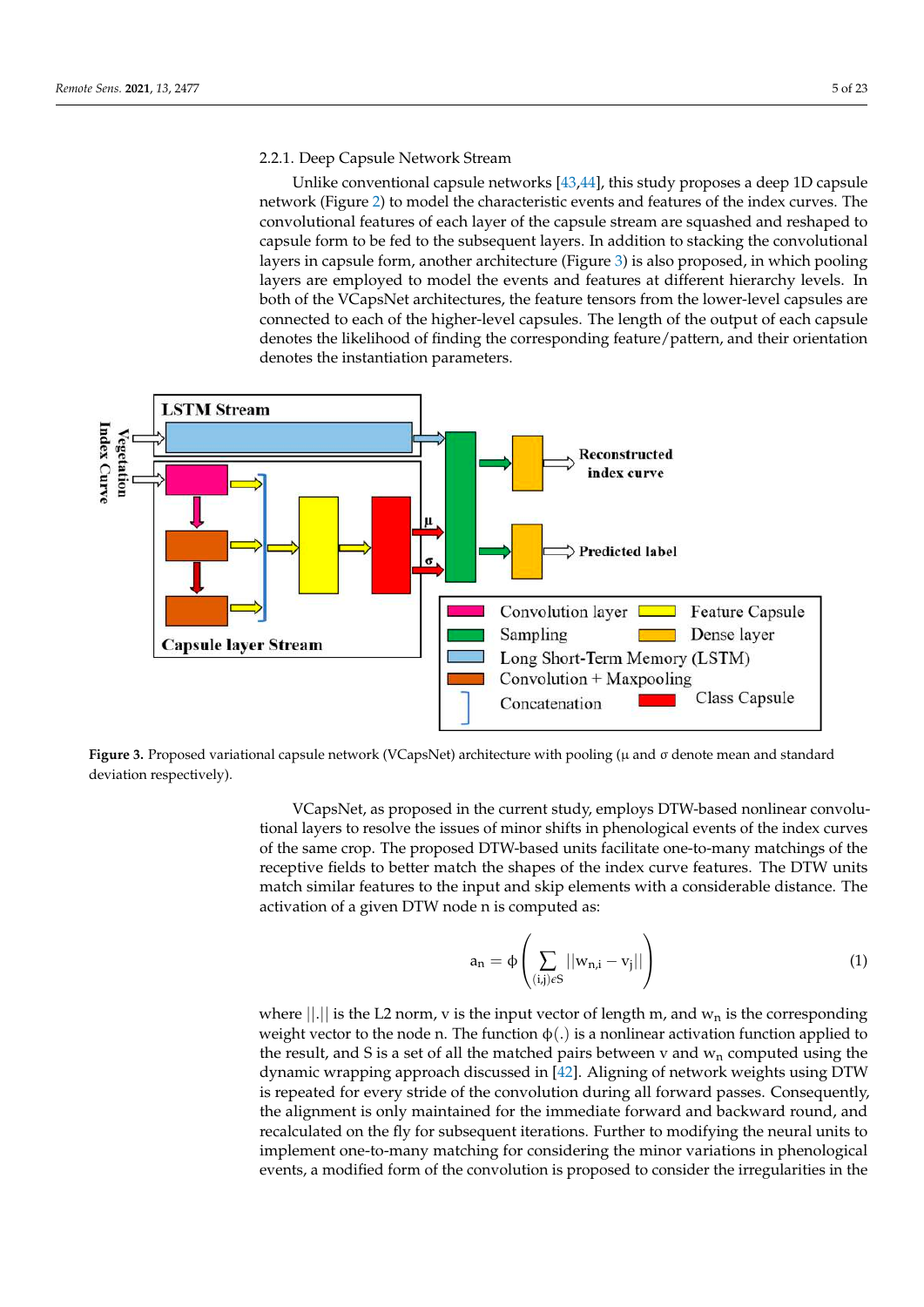# 2.2.1. Deep Capsule Network Stream

Unlike conventional capsule networks  $[43,44]$  $[43,44]$ , this study proposes a deep 1D capsule network (Figure [2\)](#page-3-1) to model the characteristic events and features of the index curves. The convolutional features of each layer of the capsule stream are squashed and reshaped to capsule form to be fed to the subsequent layers. In addition to stacking the convolutional capsule form to be fed to the subsequent layers. In addition to stacking the convolutional layers in capsule form, another architecture (Figure [3\)](#page-4-0) is also proposed, in which pooling layers in capsule form, another architecture (Figure 3) is also proposed, in which pooling layers are employed to model the events and features at different hierarchy levels. In both of the VCapsNet architectures, the feature tensors from the lower-level capsules are connected to each of the higher-level capsules. The length of the output of each capsule denotes the likelihood of finding the corresponding feature/pattern, and their orientation denotes the instantiation parameters. denotes the instantiation parameters.

<span id="page-4-0"></span>

Figure 3. Proposed variational capsule network (VCapsNet) architecture with pooling (µ and o denote mean and standard deviation respectively). deviation respectively).

VCapsNet, as proposed in the current study, employs DTW-based nonlinear convolutional layers to resolve the issues of minor shifts in phenological events of the index curves of the same crop. The proposed DTW-based units facilitate one-to-many matchings of the<br>same crop. The proposed DTW-based units facilitate one-to-many matchings of the match similar features to the input and skip elements with a considerable distance. The match similar features to the input and skip elements with a considerable distance. The activation of a given DTW node n is computed as:  $\frac{1}{\sqrt{2}}$ receptive fields to better match the shapes of the index curve features. The DTW units

$$
a_{n} = \phi\left(\sum_{(i,j)\in S} ||w_{n,i} - v_{j}||\right) \tag{1}
$$

 $\binom{(i,j)\epsilon S}{j}$  where  $||.||$  is the L2 norm, v is the input vector of length m, and  $w_n$  is the corresponding weight vector to the node n. The function  $\phi(.)$  is a nonlinear activation function applied to the result and S is a set of all the matched pairs between y and wy computed using the dynamic wrapping approach discussed in  $[42]$ . Aligning of network weights using DTW is repeated for every stride of the convolution during all forward passes. Consequently, the alignment is only maintained for the immediate forward and backward round, and recalculated on the fly for subsequent iterations. Further to modifying the neural units to implement one-to-many matching for considering the minor variations in phenological events, a modified form of the convolution is proposed to consider the irregularities in the the result, and S is a set of all the matched pairs between v and  $w_n$  computed using the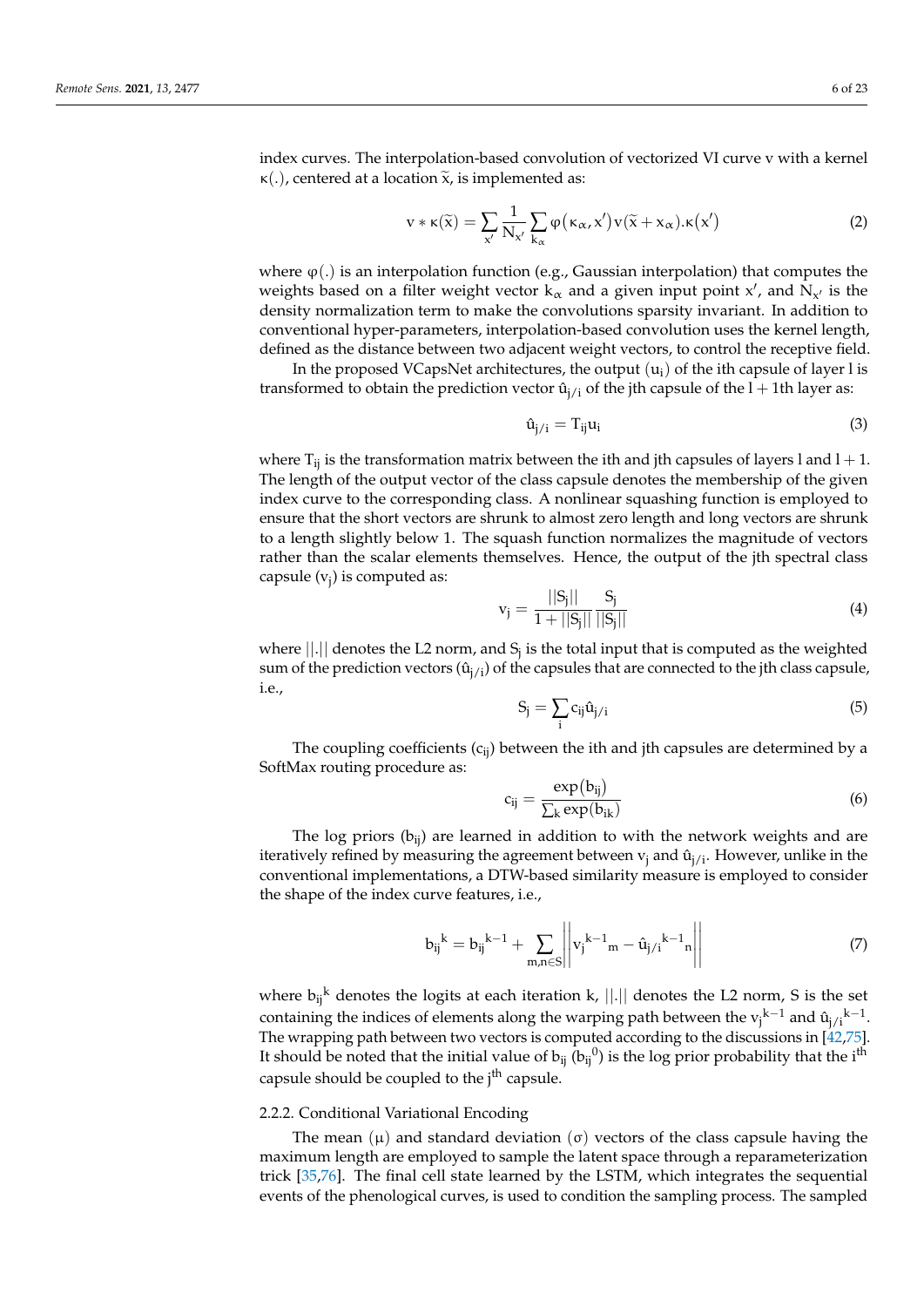index curves. The interpolation-based convolution of vectorized VI curve v with a kernel κ(.), centered at a location  $\tilde{x}$ , is implemented as:

$$
v * \kappa(\tilde{x}) = \sum_{x'} \frac{1}{N_{x'}} \sum_{k_{\alpha}} \varphi(\kappa_{\alpha}, x') v(\tilde{x} + x_{\alpha}).\kappa(x')
$$
 (2)

where  $\varphi(.)$  is an interpolation function (e.g., Gaussian interpolation) that computes the weights based on a filter weight vector  $k_{\alpha}$  and a given input point x', and  $N_{x'}$  is the density normalization term to make the convolutions sparsity invariant. In addition to conventional hyper-parameters, interpolation-based convolution uses the kernel length, defined as the distance between two adjacent weight vectors, to control the receptive field.

In the proposed VCapsNet architectures, the output  $(u_i)$  of the ith capsule of layer l is transformed to obtain the prediction vector  $\hat{u}_{i/i}$  of the jth capsule of the l + 1th layer as:

$$
\hat{u}_{j/i} = T_{ij}u_i \tag{3}
$$

where  $T_{ij}$  is the transformation matrix between the ith and jth capsules of layers l and  $l + 1$ . The length of the output vector of the class capsule denotes the membership of the given index curve to the corresponding class. A nonlinear squashing function is employed to ensure that the short vectors are shrunk to almost zero length and long vectors are shrunk to a length slightly below 1. The squash function normalizes the magnitude of vectors rather than the scalar elements themselves. Hence, the output of the jth spectral class capsule (v<sub>j</sub>) is computed as:

$$
v_j = \frac{||S_j||}{1 + ||S_j||} \frac{S_j}{||S_j||}
$$
\n(4)

where  $||.||$  denotes the L2 norm, and  $S_j$  is the total input that is computed as the weighted sum of the prediction vectors  $(\hat{u}_{i,j})$  of the capsules that are connected to the jth class capsule, i.e.,

$$
S_j = \sum_i c_{ij} \hat{u}_{j/i} \tag{5}
$$

The coupling coefficients  $(c_{ii})$  between the ith and jth capsules are determined by a SoftMax routing procedure as:

$$
c_{ij} = \frac{\exp(b_{ij})}{\sum_{k} \exp(b_{ik})}
$$
 (6)

The log priors ( $b_{ij}$ ) are learned in addition to with the network weights and are iteratively refined by measuring the agreement between  $v_i$  and  $\hat{u}_{i/i}$ . However, unlike in the conventional implementations, a DTW-based similarity measure is employed to consider the shape of the index curve features, i.e.,

$$
{b_{ij}}^{k} = {b_{ij}}^{k-1} + \sum_{m,n \in S} \left\| v_j^{k-1} m - \hat{u}_{j/i}^{k-1} n \right\|
$$
 (7)

where  $b_{ij}^k$  denotes the logits at each iteration k,  $||.||$  denotes the L2 norm, S is the set containing the indices of elements along the warping path between the  $v_j^{k-1}$  and  $\hat{u}_{j/i}^{k-1}$ . The wrapping path between two vectors is computed according to the discussions in [\[42](#page-20-6)[,75\]](#page-21-7). It should be noted that the initial value of  $b_{ij}$  ( $b_{ij}$ <sup>0</sup>) is the log prior probability that the i<sup>th</sup> capsule should be coupled to the j<sup>th</sup> capsule.

### 2.2.2. Conditional Variational Encoding

The mean  $(\mu)$  and standard deviation  $(\sigma)$  vectors of the class capsule having the maximum length are employed to sample the latent space through a reparameterization trick [\[35](#page-19-22)[,76\]](#page-21-8). The final cell state learned by the LSTM, which integrates the sequential events of the phenological curves, is used to condition the sampling process. The sampled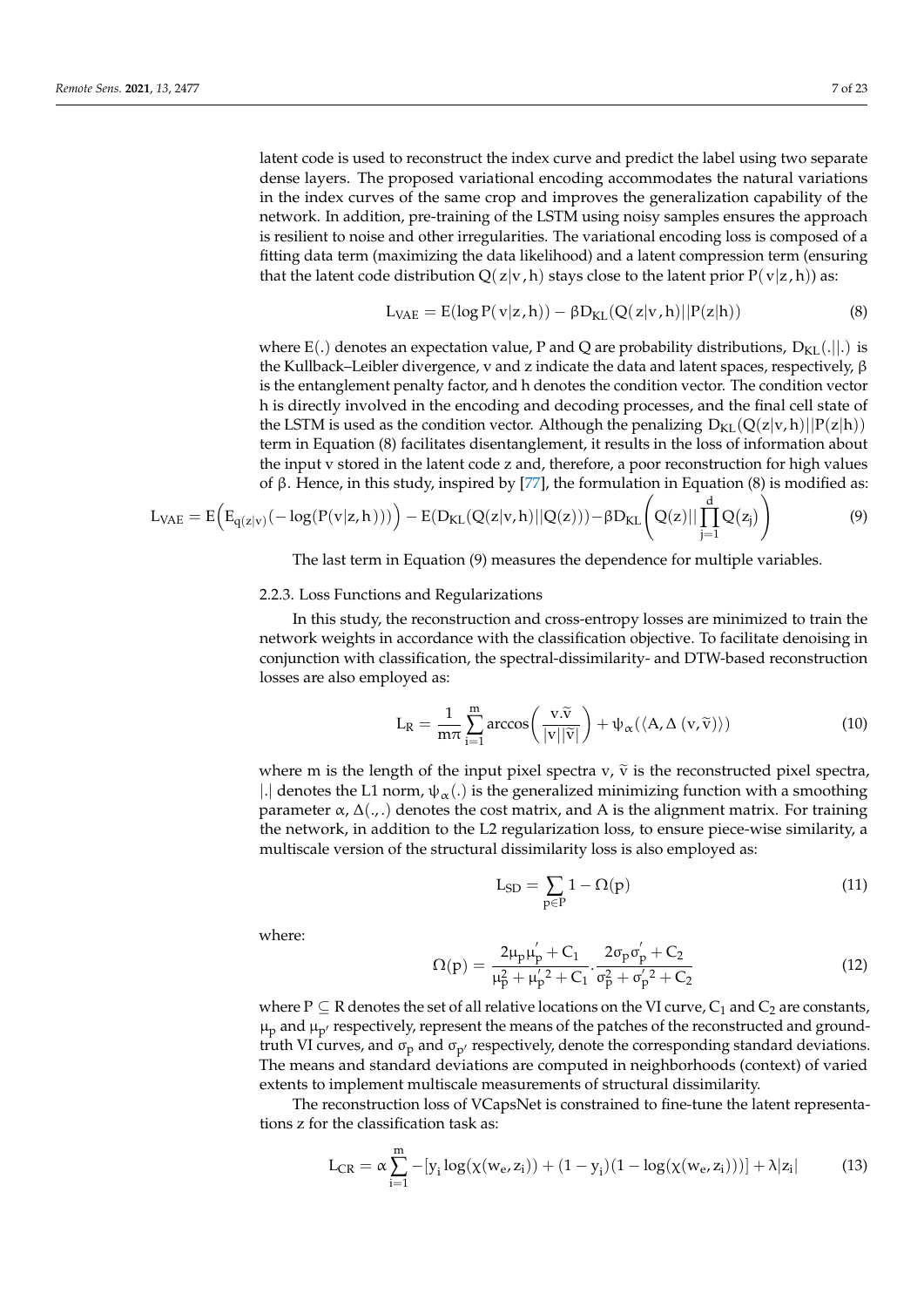latent code is used to reconstruct the index curve and predict the label using two separate dense layers. The proposed variational encoding accommodates the natural variations in the index curves of the same crop and improves the generalization capability of the network. In addition, pre-training of the LSTM using noisy samples ensures the approach is resilient to noise and other irregularities. The variational encoding loss is composed of a fitting data term (maximizing the data likelihood) and a latent compression term (ensuring that the latent code distribution  $Q(z|v, h)$  stays close to the latent prior  $P(v|z, h)$  as:

$$
L_{VAE} = E(\log P(v|z, h)) - \beta D_{KL}(Q(z|v, h)||P(z|h))
$$
\n(8)

where E(.) denotes an expectation value, P and Q are probability distributions,  $D_{KL}(.||.)$  is the Kullback–Leibler divergence, v and z indicate the data and latent spaces, respectively, β is the entanglement penalty factor, and h denotes the condition vector. The condition vector h is directly involved in the encoding and decoding processes, and the final cell state of the LSTM is used as the condition vector. Although the penalizing  $D_{KL}(Q(z|v, h)||P(z|h))$ term in Equation (8) facilitates disentanglement, it results in the loss of information about the input v stored in the latent code z and, therefore, a poor reconstruction for high values of β. Hence, in this study, inspired by [\[77\]](#page-21-9), the formulation in Equation (8) is modified as:

$$
L_{VAE} = E\Big(E_{q(z|v)}(-\log(P(v|z,h))))\Big) - E(D_{KL}(Q(z|v,h)||Q(z))) - \beta D_{KL}\Big(Q(z)||\prod_{j=1}^d Q(z_j)\Big) \tag{9}
$$

The last term in Equation (9) measures the dependence for multiple variables.

#### 2.2.3. Loss Functions and Regularizations

In this study, the reconstruction and cross-entropy losses are minimized to train the network weights in accordance with the classification objective. To facilitate denoising in conjunction with classification, the spectral-dissimilarity- and DTW-based reconstruction losses are also employed as:

$$
L_{R} = \frac{1}{m\pi} \sum_{i=1}^{m} \arccos\left(\frac{v.\widetilde{v}}{|v||\widetilde{v}|}\right) + \psi_{\alpha}(\langle A, \Delta(v,\widetilde{v})\rangle)
$$
(10)

where m is the length of the input pixel spectra  $v$ ,  $\tilde{v}$  is the reconstructed pixel spectra, |.| denotes the L1 norm,  $\psi_{\alpha}$ (.) is the generalized minimizing function with a smoothing parameter  $\alpha$ ,  $\Delta($ ,  $)$  denotes the cost matrix, and A is the alignment matrix. For training the network, in addition to the L2 regularization loss, to ensure piece-wise similarity, a multiscale version of the structural dissimilarity loss is also employed as:

$$
L_{SD} = \sum_{p \in P} 1 - \Omega(p) \tag{11}
$$

where:

$$
\Omega(p) = \frac{2\mu_p\mu'_p + C_1}{\mu_p^2 + \mu'_p{}^2 + C_1} \cdot \frac{2\sigma_p\sigma'_p + C_2}{\sigma_p^2 + \sigma'_p{}^2 + C_2}
$$
\n(12)

where  $P \subseteq R$  denotes the set of all relative locations on the VI curve,  $C_1$  and  $C_2$  are constants,  $\mu_p$  and  $\mu_{p'}$  respectively, represent the means of the patches of the reconstructed and groundtruth VI curves, and  $\sigma_p$  and  $\sigma_{p'}$  respectively, denote the corresponding standard deviations. The means and standard deviations are computed in neighborhoods (context) of varied extents to implement multiscale measurements of structural dissimilarity.

The reconstruction loss of VCapsNet is constrained to fine-tune the latent representations z for the classification task as:

$$
L_{CR} = \alpha \sum_{i=1}^{m} -[y_i \log(\chi(w_e, z_i)) + (1 - y_i)(1 - \log(\chi(w_e, z_i)))] + \lambda |z_i|
$$
 (13)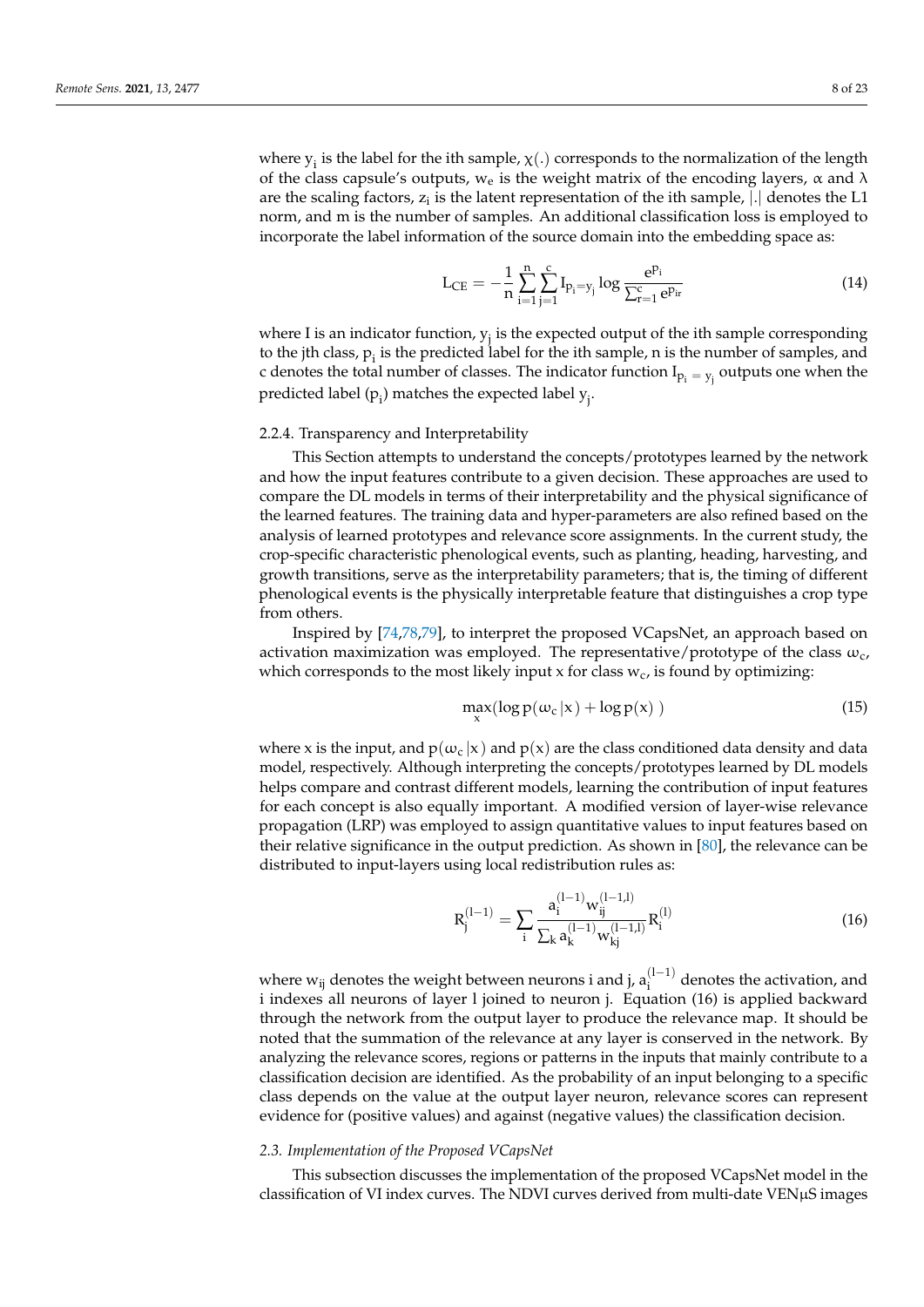where  $y_i$  is the label for the ith sample,  $\chi(.)$  corresponds to the normalization of the length of the class capsule's outputs,  $w_e$  is the weight matrix of the encoding layers,  $\alpha$  and  $\lambda$ are the scaling factors,  $z_i$  is the latent representation of the ith sample,  $|.|$  denotes the L1 norm, and m is the number of samples. An additional classification loss is employed to incorporate the label information of the source domain into the embedding space as:

$$
L_{CE} = -\frac{1}{n} \sum_{i=1}^{n} \sum_{j=1}^{c} I_{p_i = y_j} \log \frac{e^{p_i}}{\sum_{r=1}^{c} e^{p_{ir}}}
$$
(14)

where I is an indicator function,  $y_j$  is the expected output of the ith sample corresponding to the jth class,  $p_i$  is the predicted label for the ith sample, n is the number of samples, and c denotes the total number of classes. The indicator function  $I_{p_i = y_j}$  outputs one when the predicted label (p<sub>i</sub>) matches the expected label  $y_j$ .

#### <span id="page-7-0"></span>2.2.4. Transparency and Interpretability

This Section attempts to understand the concepts/prototypes learned by the network and how the input features contribute to a given decision. These approaches are used to compare the DL models in terms of their interpretability and the physical significance of the learned features. The training data and hyper-parameters are also refined based on the analysis of learned prototypes and relevance score assignments. In the current study, the crop-specific characteristic phenological events, such as planting, heading, harvesting, and growth transitions, serve as the interpretability parameters; that is, the timing of different phenological events is the physically interpretable feature that distinguishes a crop type from others.

Inspired by [\[74,](#page-21-6)[78,](#page-21-10)[79\]](#page-21-11), to interpret the proposed VCapsNet, an approach based on activation maximization was employed. The representative/prototype of the class  $\omega_c$ , which corresponds to the most likely input x for class  $w_c$ , is found by optimizing:

$$
\max_{x} (\log p(\omega_{c}|x) + \log p(x))
$$
\n(15)

where x is the input, and  $p(\omega_c | x)$  and  $p(x)$  are the class conditioned data density and data model, respectively. Although interpreting the concepts/prototypes learned by DL models helps compare and contrast different models, learning the contribution of input features for each concept is also equally important. A modified version of layer-wise relevance propagation (LRP) was employed to assign quantitative values to input features based on their relative significance in the output prediction. As shown in [\[80\]](#page-21-12), the relevance can be distributed to input-layers using local redistribution rules as:

$$
R_j^{(l-1)} = \sum_{i} \frac{a_i^{(l-1)} w_{ij}^{(l-1,l)}}{\sum_{k} a_k^{(l-1)} w_{kj}^{(l-1,l)}} R_i^{(l)}
$$
(16)

where  $w_{ij}$  denotes the weight between neurons i and j,  $a_i^{(l-1)}$  $i_i^{(1-1)}$  denotes the activation, and i indexes all neurons of layer l joined to neuron j. Equation (16) is applied backward through the network from the output layer to produce the relevance map. It should be noted that the summation of the relevance at any layer is conserved in the network. By analyzing the relevance scores, regions or patterns in the inputs that mainly contribute to a classification decision are identified. As the probability of an input belonging to a specific class depends on the value at the output layer neuron, relevance scores can represent evidence for (positive values) and against (negative values) the classification decision.

## *2.3. Implementation of the Proposed VCapsNet*

This subsection discusses the implementation of the proposed VCapsNet model in the classification of VI index curves. The NDVI curves derived from multi-date VENµS images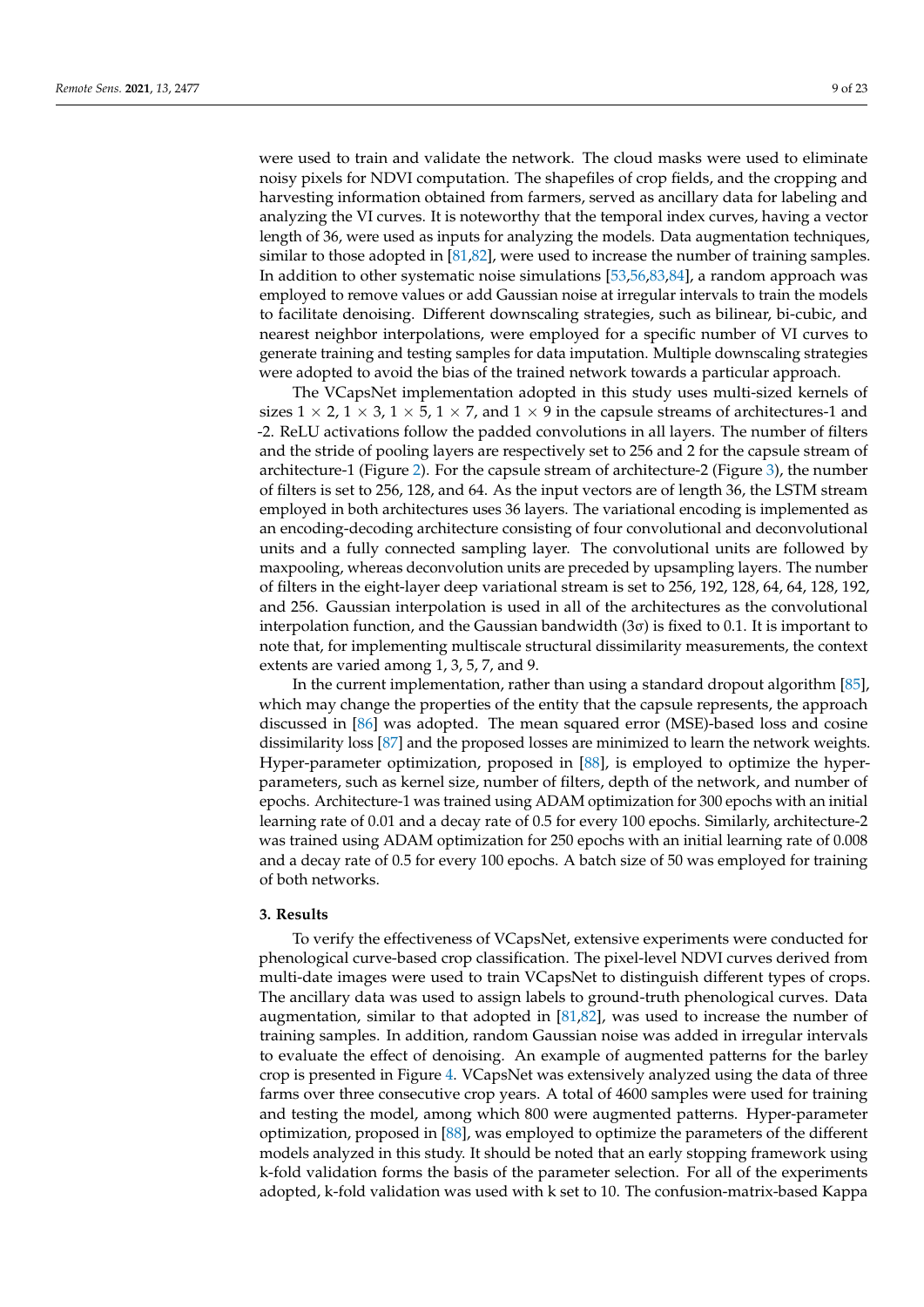were used to train and validate the network. The cloud masks were used to eliminate noisy pixels for NDVI computation. The shapefiles of crop fields, and the cropping and harvesting information obtained from farmers, served as ancillary data for labeling and analyzing the VI curves. It is noteworthy that the temporal index curves, having a vector length of 36, were used as inputs for analyzing the models. Data augmentation techniques, similar to those adopted in [\[81,](#page-21-13)[82\]](#page-21-14), were used to increase the number of training samples. In addition to other systematic noise simulations [\[53,](#page-20-15)[56,](#page-20-21)[83,](#page-21-15)[84\]](#page-21-16), a random approach was employed to remove values or add Gaussian noise at irregular intervals to train the models to facilitate denoising. Different downscaling strategies, such as bilinear, bi-cubic, and nearest neighbor interpolations, were employed for a specific number of VI curves to generate training and testing samples for data imputation. Multiple downscaling strategies

The VCapsNet implementation adopted in this study uses multi-sized kernels of sizes  $1 \times 2$ ,  $1 \times 3$ ,  $1 \times 5$ ,  $1 \times 7$ , and  $1 \times 9$  in the capsule streams of architectures-1 and -2. ReLU activations follow the padded convolutions in all layers. The number of filters and the stride of pooling layers are respectively set to 256 and 2 for the capsule stream of architecture-1 (Figure [2\)](#page-3-1). For the capsule stream of architecture-2 (Figure [3\)](#page-4-0), the number of filters is set to 256, 128, and 64. As the input vectors are of length 36, the LSTM stream employed in both architectures uses 36 layers. The variational encoding is implemented as an encoding-decoding architecture consisting of four convolutional and deconvolutional units and a fully connected sampling layer. The convolutional units are followed by maxpooling, whereas deconvolution units are preceded by upsampling layers. The number of filters in the eight-layer deep variational stream is set to 256, 192, 128, 64, 64, 128, 192, and 256. Gaussian interpolation is used in all of the architectures as the convolutional interpolation function, and the Gaussian bandwidth  $(3\sigma)$  is fixed to 0.1. It is important to note that, for implementing multiscale structural dissimilarity measurements, the context extents are varied among 1, 3, 5, 7, and 9.

were adopted to avoid the bias of the trained network towards a particular approach.

In the current implementation, rather than using a standard dropout algorithm [\[85\]](#page-21-17), which may change the properties of the entity that the capsule represents, the approach discussed in [\[86\]](#page-21-18) was adopted. The mean squared error (MSE)-based loss and cosine dissimilarity loss [\[87\]](#page-21-19) and the proposed losses are minimized to learn the network weights. Hyper-parameter optimization, proposed in [\[88\]](#page-21-20), is employed to optimize the hyperparameters, such as kernel size, number of filters, depth of the network, and number of epochs. Architecture-1 was trained using ADAM optimization for 300 epochs with an initial learning rate of 0.01 and a decay rate of 0.5 for every 100 epochs. Similarly, architecture-2 was trained using ADAM optimization for 250 epochs with an initial learning rate of 0.008 and a decay rate of 0.5 for every 100 epochs. A batch size of 50 was employed for training of both networks.

### **3. Results**

To verify the effectiveness of VCapsNet, extensive experiments were conducted for phenological curve-based crop classification. The pixel-level NDVI curves derived from multi-date images were used to train VCapsNet to distinguish different types of crops. The ancillary data was used to assign labels to ground-truth phenological curves. Data augmentation, similar to that adopted in [\[81](#page-21-13)[,82\]](#page-21-14), was used to increase the number of training samples. In addition, random Gaussian noise was added in irregular intervals to evaluate the effect of denoising. An example of augmented patterns for the barley crop is presented in Figure [4.](#page-9-0) VCapsNet was extensively analyzed using the data of three farms over three consecutive crop years. A total of 4600 samples were used for training and testing the model, among which 800 were augmented patterns. Hyper-parameter optimization, proposed in [\[88\]](#page-21-20), was employed to optimize the parameters of the different models analyzed in this study. It should be noted that an early stopping framework using k-fold validation forms the basis of the parameter selection. For all of the experiments adopted, k-fold validation was used with k set to 10. The confusion-matrix-based Kappa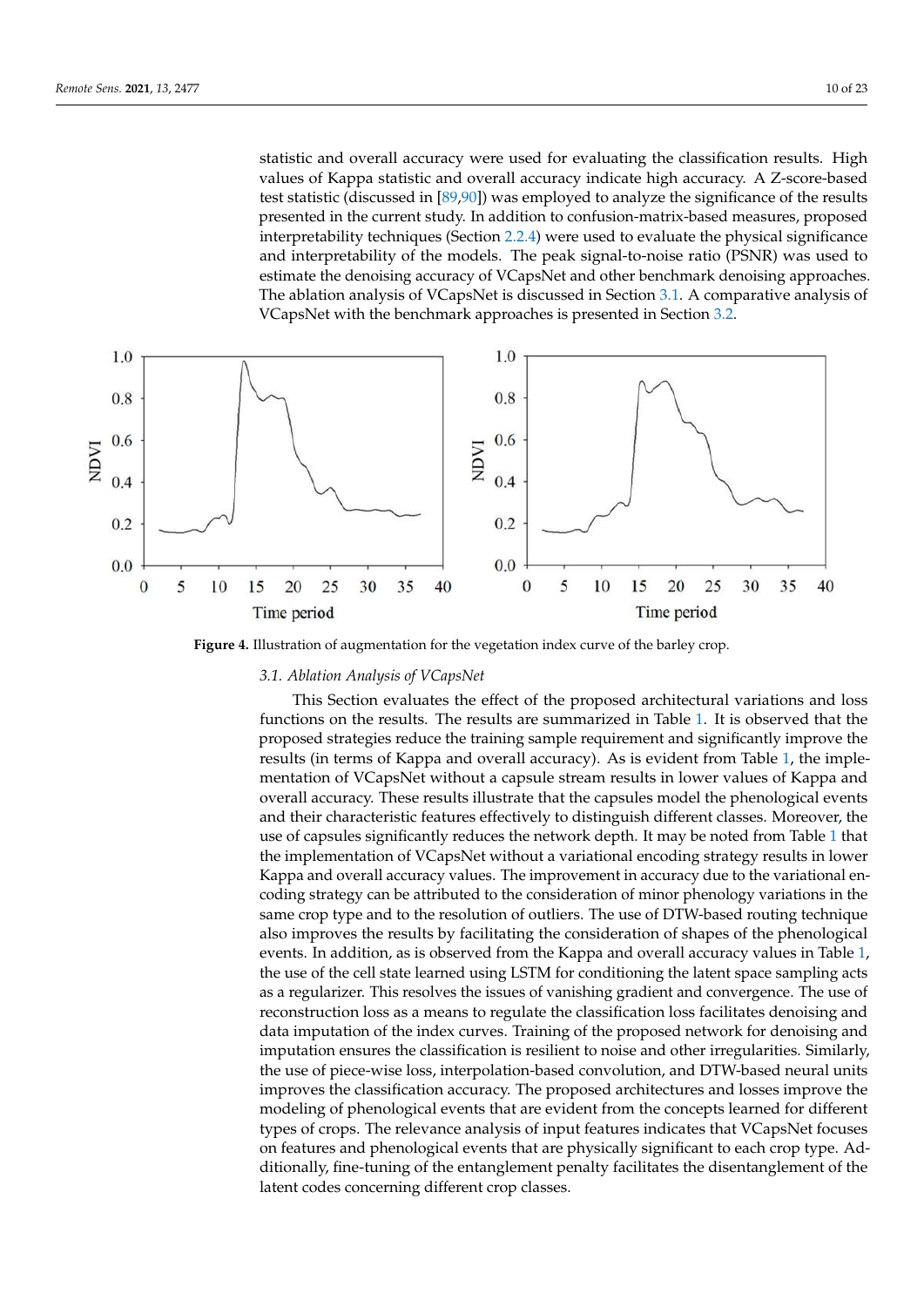statistic and overall accuracy were used for evaluating the classification results. High accuracy in the statistic and overall accuracy. values of Kappa statistic and overall accuracy indicate high accuracy. A Z-score-based<br>(discussed in Feb 99) was employed to analyze the significance of the results presented in the significance of test statistic (discussed in [\[89](#page-21-21)[,90\]](#page-21-22)) was employed to analyze the significance of the results presented in the current study. In addition to confusion-matrix-based measures, proposed presented in the current study. In addition to confusion-matrix-based measures, proposed presences are called the physical significance interpretability techniques (Section [2.2.4\)](#page-7-0) were used to evaluate the physical significance and interpretability of the models. The peak signal-to-noise ratio (PSNR) was used to estimate the denoising accuracy of VCapsNet and other benchmark denoising approaches. The ablation analysis of VCapsNet is discussed in Section 3.1. A [com](#page-9-1)parative analysis of VCapsNet with the benchmark approaches is presented in Section [3.2.](#page-11-0)

<span id="page-9-0"></span>

**Figure 4.** Illustration of augmentation for the vegetation index curve of the barley crop. **Figure 4.** Illustration of augmentation for the vegetation index curve of the barley crop.

# <span id="page-9-1"></span>*3.1. Ablation Analysis of VCapsNet 3.1. Ablation Analysis of VCapsNet*

This Section evaluates the effect of the proposed architectural variations and loss functions on the results. The results are summarized in Table [1.](#page-10-0) It is observed that the proposed strategies reduce the training sample requirement and significantly improve the results (in terms of Kappa [an](#page-10-0)d overall accuracy). As is evident from Table 1, the implementation of VCapsNet without a capsule stream results in lower values of Kappa and overall accuracy. These results illustrate that the capsules model the phenological events and their characteristic features effectively to distinguish different classes. Moreover, the use of capsules significantly reduces the network depth. It may be noted from Table [1](#page-10-0) that  $\frac{1}{2}$ the implementation of VCapsNet without a variational encoding strategy results in lower<br>Kanna and arrangly course weakers. The improvement in a varia to the localizational on the parties of Capsaria variation of Capsariation of minor phenology variations in the coding strategy can be attributed to the consideration of minor phenology variations in the same crop type and to the resolution of outliers. The use of DTW-based routing technique also improves the results by facilitating the consideration of shapes of the phenological events. In addition, as is observed from the Kappa and overall accuracy values in Table 1, the use of the cell state learned using LSTM for conditioning the latent space sampling acts as a regularizer. This resolves the issues of vanishing gradient and convergence. The use of reconstruction loss as a means to regulate the classification loss facilitates denoising and<br>expansion in the latent space same space same samples in the latent space same space same space same space sam imputation of the index curves. Training of the proposed herwork for denorsing and imputation ensures the classification is resilient to noise and other irregularities. Similarly, In particle choices the existence the existence in the classification of the classification and DTW-based neural units improves the classification accuracy. The proposed architectures and losses improve the This Section evaluates the effect of the proposed architectural variations and loss Kappa and overall accuracy values. The improvement in accuracy due to the variational endata imputation of the index curves. Training of the proposed network for denoising and modeling of phenological events that are evident from the concepts learned for different types of crops. The relevance analysis of input features indicates that VCapsNet focuses on features and phenological events that are physically significant to each crop type. Additionally, fine-tuning of the entanglement penalty facilitates the disentanglement of the latent codes concerning different crop classes.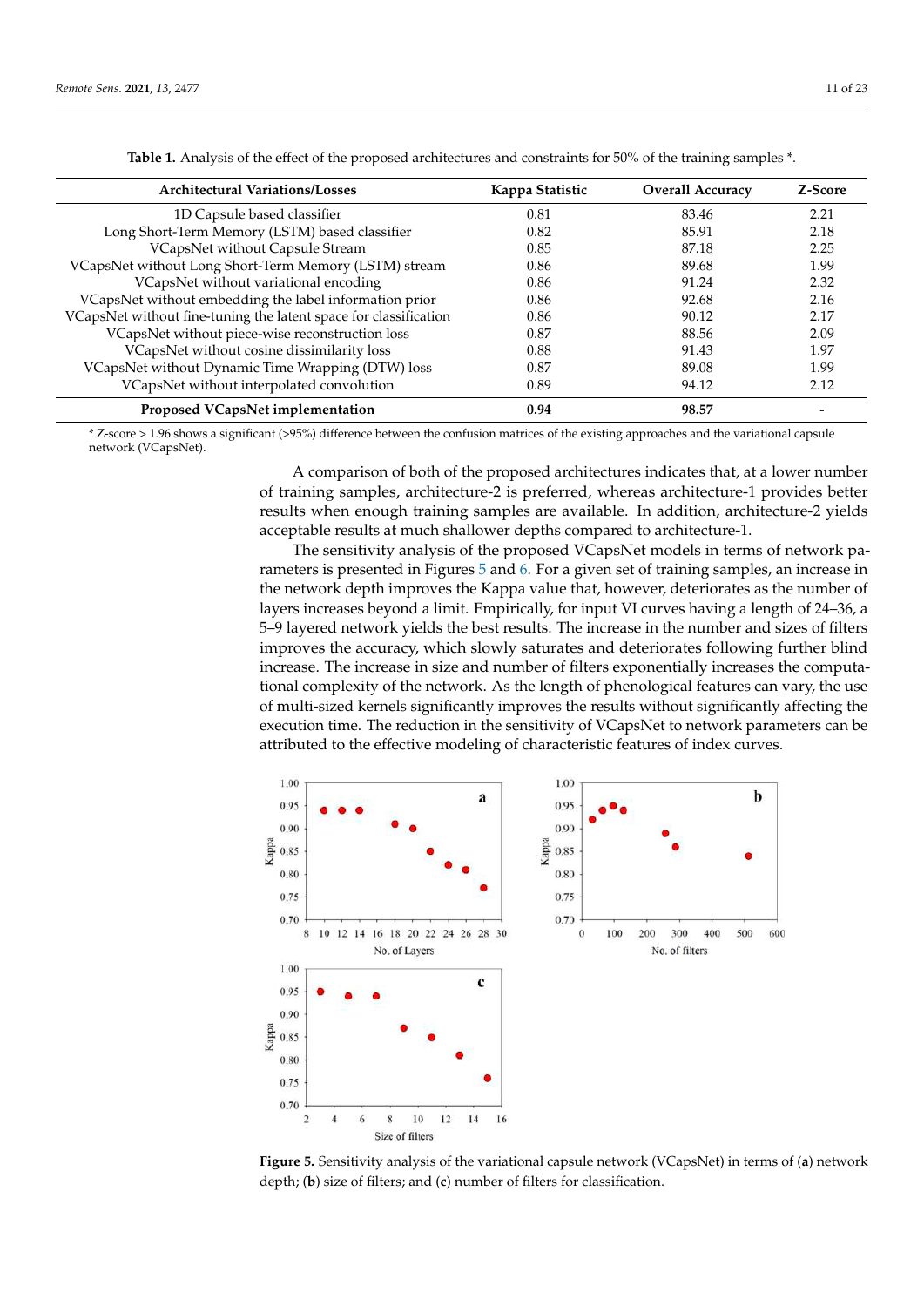<span id="page-10-0"></span>

| <b>Architectural Variations/Losses</b>                           | Kappa Statistic | <b>Overall Accuracy</b> | Z-Score |
|------------------------------------------------------------------|-----------------|-------------------------|---------|
| 1D Capsule based classifier                                      | 0.81            | 83.46                   | 2.21    |
| Long Short-Term Memory (LSTM) based classifier                   | 0.82            | 85.91                   | 2.18    |
| VCapsNet without Capsule Stream                                  | 0.85            | 87.18                   | 2.25    |
| VCapsNet without Long Short-Term Memory (LSTM) stream            | 0.86            | 89.68                   | 1.99    |
| VCapsNet without variational encoding                            | 0.86            | 91.24                   | 2.32    |
| VCapsNet without embedding the label information prior           | 0.86            | 92.68                   | 2.16    |
| VCapsNet without fine-tuning the latent space for classification | 0.86            | 90.12                   | 2.17    |
| VCapsNet without piece-wise reconstruction loss                  | 0.87            | 88.56                   | 2.09    |
| VCapsNet without cosine dissimilarity loss                       | 0.88            | 91.43                   | 1.97    |
| VCapsNet without Dynamic Time Wrapping (DTW) loss                | 0.87            | 89.08                   | 1.99    |
| VCapsNet without interpolated convolution                        | 0.89            | 94.12                   | 2.12    |
| Proposed VCapsNet implementation                                 | 0.94            | 98.57                   |         |

**Table 1.** Analysis of the effect of the proposed architectures and constraints for 50% of the training samples \*.

\* Z-score > 1.96 shows a significant (>95%) difference between the confusion matrices of the existing approaches and the variational capsule network (VCapsNet).

> A comparison of both of the proposed architectures indicates that, at a lower number of training samples, architecture-2 is preferred, whereas architecture-1 provides better results when enough training samples are available. In addition, architecture-2 yields acceptable results at much shallower depths compared to architecture-1.

The sensitivity analysis of the proposed VCapsNet models in terms of network parameters is presented in Figures [5](#page-10-1) and [6.](#page-11-1) For a given set of training samples, an increase in the network depth improves the Kappa value that, however, deteriorates as the number of layers increases beyond a limit. Empirically, for input VI curves having a length of 24–36, a 5–9 layered network yields the best results. The increase in the number and sizes of filters improves the accuracy, which slowly saturates and deteriorates following further blind increase. The increase in size and number of filters exponentially increases the computational complexity of the network. As the length of phenological features can vary, the use of multi-sized kernels significantly improves the results without significantly affecting the execution time. The reduction in the sensitivity of VCapsNet to network parameters can be attributed to the effective modeling of characteristic features of index curves.

<span id="page-10-1"></span>

Figure 5. Sensitivity analysis of the variational capsule network (VCapsNet) in terms of (a) network work depth; (**b**) size of filters; and (**c**) number of filters for classification. depth; (**b**) size of filters; and (**c**) number of filters for classification.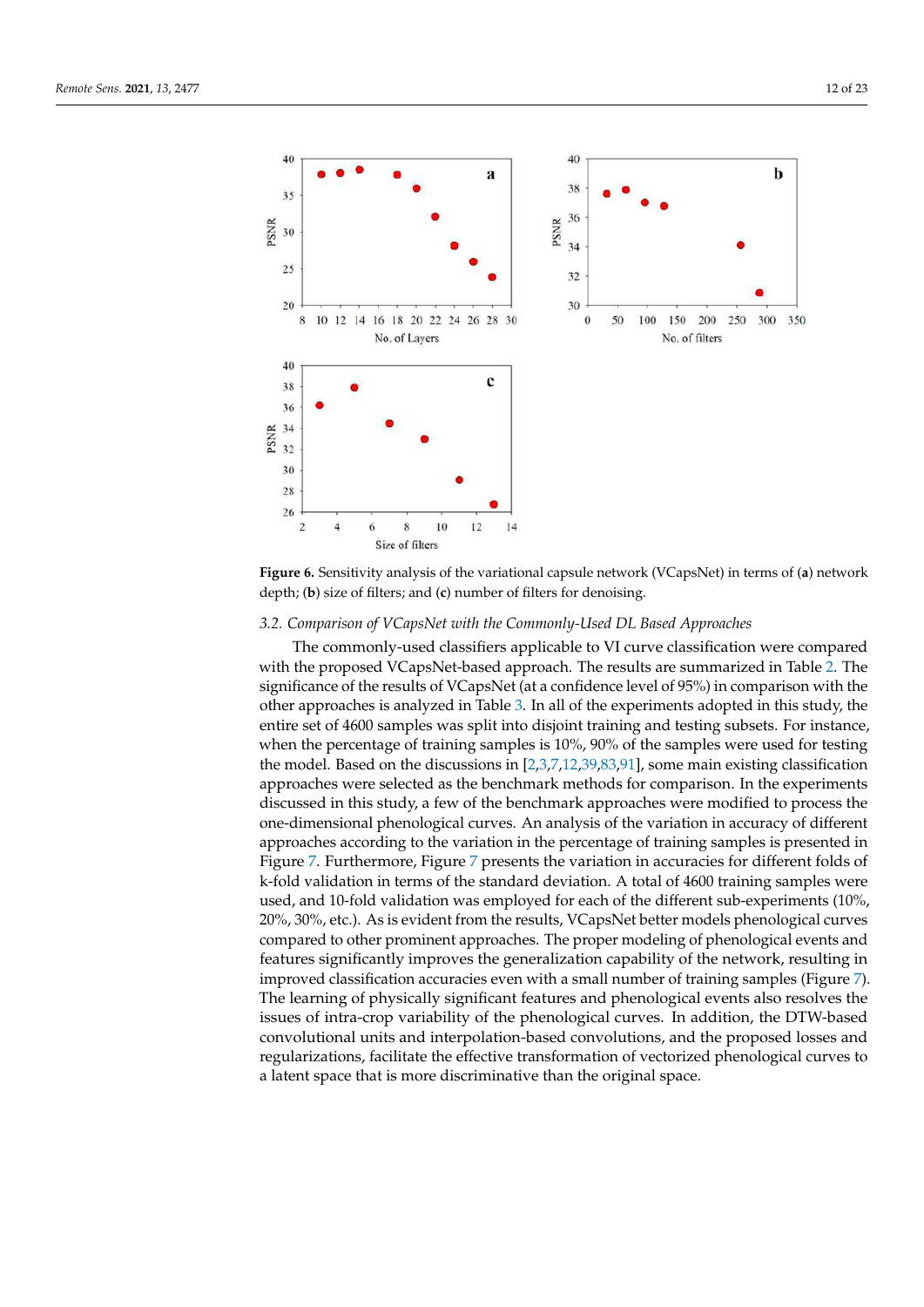<span id="page-11-1"></span>

**Figure 5.** Sensitivity analysis of the variational capsule network (VCapsNet) in terms of (**a**) net-

Figure 6. Sensitivity analysis of the variational capsule network (VCapsNet) in terms of (a) network work depth; (**b**) size of filters; and (**c**) number of filters for denoising. depth; (**b**) size of filters; and (**c**) number of filters for denoising.

# <span id="page-11-0"></span>*3.2. Comparison of VCapsNet with the Commonly-Used DL Based Approaches 3.2. Comparison of VCapsNet with the Commonly-Used DL Based Approaches*

The commonly-used classifiers applicable to VI curve classification were compared The commonly-used classifiers applicable to VI curve classification were compared with the proposed VCapsNet-based approach. The results are summarized in Tabl[e 2](#page-12-0). The with the proposed VCapsNet-based approach. The results are summarized in Table 2. The significance of the results of VCapsNet (at a confidence level of 95%) in comparison with significance of the results of VCapsNet (at a confidence level of 95%) in comparison with the other approaches is analyzed in Table [3.](#page-12-1) In all of the experiments adopted in this study, the entire set of 4600 samples was split into disjoint training and testing subsets. For instance, when the percentage of training samples is  $10\%$ ,  $90\%$  of the samples were used for testing the model. Based on the discussions in [\[2,](#page-18-1)[3,](#page-18-2)[7](#page-18-5)[,12](#page-19-23)[,39](#page-20-3)[,83,](#page-21-15)[91\]](#page-21-23), some main existing classification approaches were selected as the benchmark methods for comparison. In the experiments discussed in this study, a few of the benchmark approaches were modified to process the one-dimensional phenological curves. An analysis of the variation in accuracy of different approaches according to the variation in the percentage of training samples is presented in Figure [7.](#page-12-2) Furthermore, Figure [7](#page-12-2) presents the variation in accuracies for different folds of k-fold validation in terms of the standard deviation. A total of 4600 training samples were used, and 10-fold validation was employed for each of the different sub-experiments (10%, 20%, 30%, etc.). As is evident from the results, VCapsNet better models phenological curves compared to other prominent approaches. The proper modeling of phenological events and features significantly improves the generalization capability of the network, resulting in improved classification accuracies even with a small number of training samples (Figure [7\)](#page-12-2). The learning of physically significant features and phenological events also resolves the issues of intra-crop variability of the phenological curves. In addition, the DTW-based convolutional units and interpolation-based convolutions, and the proposed losses and regularizations, facilitate the effective transformation of vectorized phenological curves to a latent space that is more discriminative than the original space.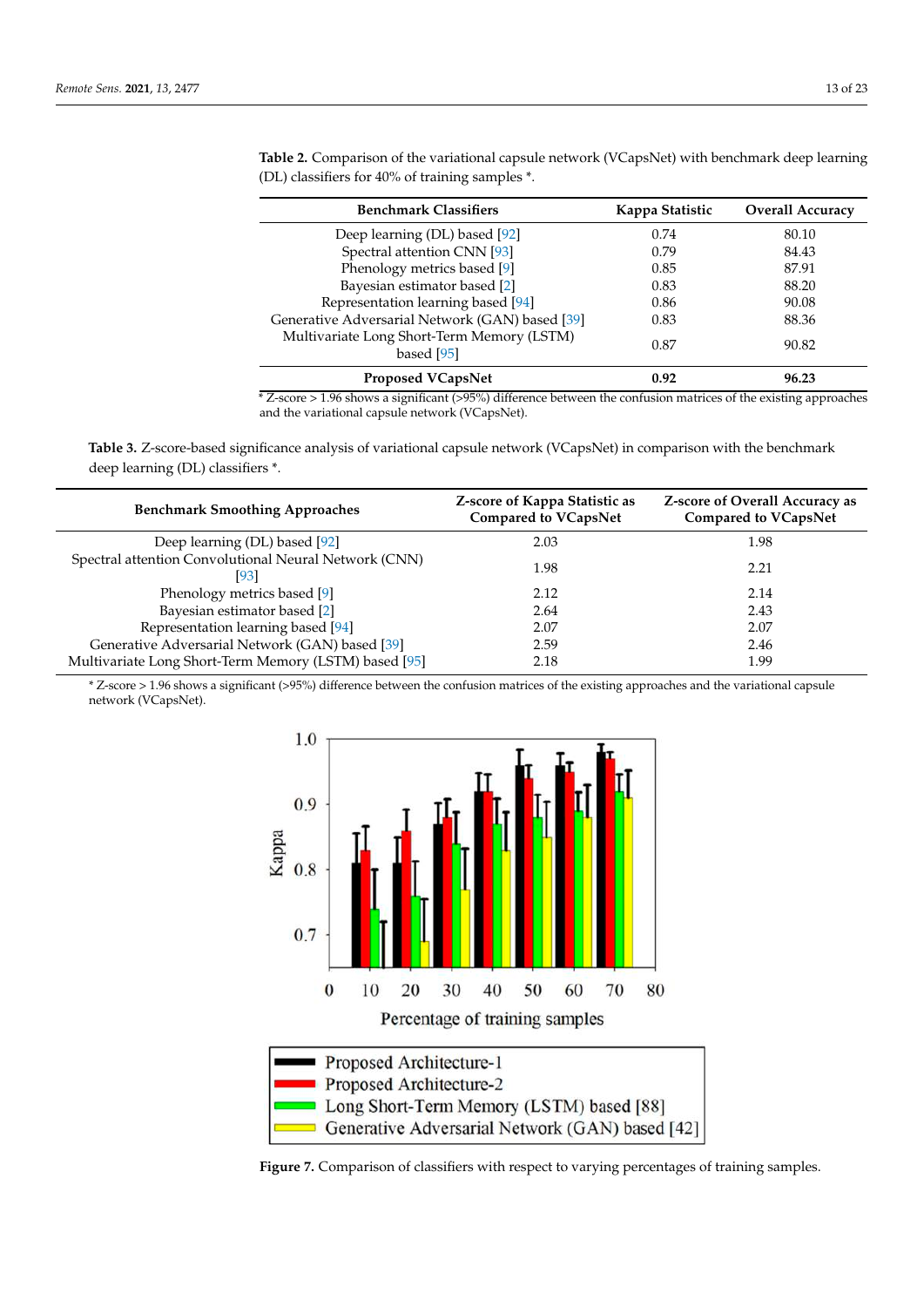| <b>Benchmark Classifiers</b>                             | Kappa Statistic | <b>Overall Accuracy</b> |
|----------------------------------------------------------|-----------------|-------------------------|
| Deep learning (DL) based [92]                            | 0.74            | 80.10                   |
| Spectral attention CNN [93]                              | 0.79            | 84.43                   |
| Phenology metrics based [9]                              | 0.85            | 87.91                   |
| Bayesian estimator based [2]                             | 0.83            | 88.20                   |
| Representation learning based [94]                       | 0.86            | 90.08                   |
| Generative Adversarial Network (GAN) based [39]          | 0.83            | 88.36                   |
| Multivariate Long Short-Term Memory (LSTM)<br>based [95] | 0.87            | 90.82                   |
| <b>Proposed VCapsNet</b>                                 | 0.92            | 96.23                   |

<span id="page-12-0"></span>**Table 2.** Comparison of the variational capsule network (VCapsNet) with benchmark deep learning (DL) classifiers for 40% of training samples \*.

\* Z-score > 1.96 shows a significant (>95%) difference between the confusion matrices of the existing approaches and the variational capsule network (VCapsNet).

<span id="page-12-1"></span>**Table 3.** Z-score-based significance analysis of variational capsule network (VCapsNet) in comparison with the benchmark deep learning (DL) classifiers \*.

| <b>Benchmark Smoothing Approaches</b>                        | Z-score of Kappa Statistic as<br><b>Compared to VCapsNet</b> | <b>Z-score of Overall Accuracy as</b><br><b>Compared to VCapsNet</b> |
|--------------------------------------------------------------|--------------------------------------------------------------|----------------------------------------------------------------------|
| Deep learning (DL) based [92]                                | 2.03                                                         | 1.98                                                                 |
| Spectral attention Convolutional Neural Network (CNN)<br> 93 | 1.98                                                         | 2.21                                                                 |
| Phenology metrics based [9]                                  | 2.12                                                         | 2.14                                                                 |
| Bayesian estimator based [2]                                 | 2.64                                                         | 2.43                                                                 |
| Representation learning based [94]                           | 2.07                                                         | 2.07                                                                 |
| Generative Adversarial Network (GAN) based [39]              | 2.59                                                         | 2.46                                                                 |
| Multivariate Long Short-Term Memory (LSTM) based [95]        | 2.18                                                         | 1.99                                                                 |

*r* Z-score > 1.96 shows a significant (>95%) difference between the confusion matrices of the existing approaches and the variational capsule network (VCapsNet).

<span id="page-12-2"></span>

**Figure 7.** Comparison of classifiers with respect to varying percentages of training samples. **Figure 7.** Comparison of classifiers with respect to varying percentages of training samples.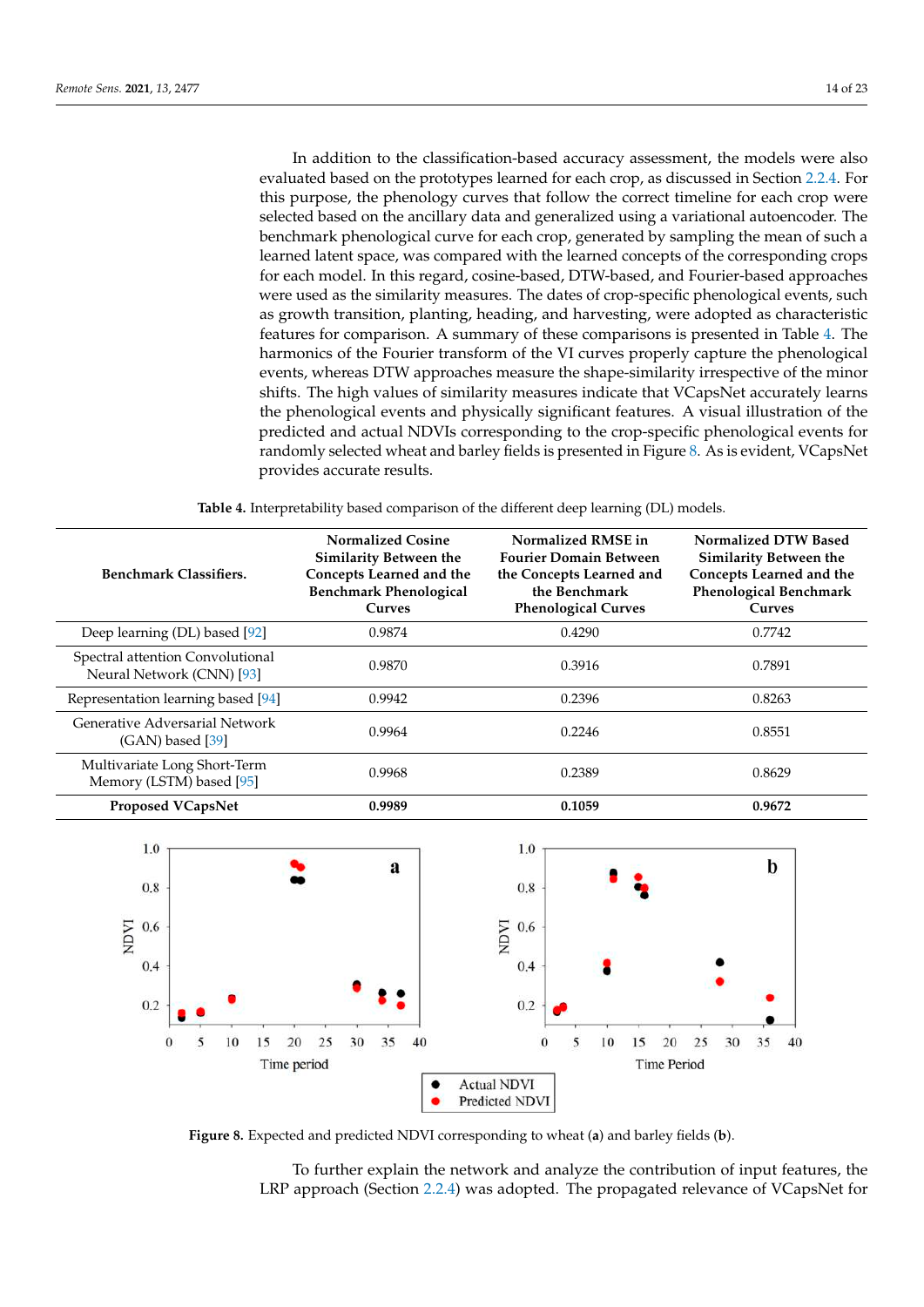In addition to the classification-based accuracy assessment, the models were also evaluated based on the prototypes learned for each crop, as discussed in Section [2.2.4.](#page-7-0) For this purpose, the phenology curves that follow the correct timeline for each crop were selected based on the ancillary data and generalized using a variational autoencoder. The benchmark phenological curve for each crop, generated by sampling the mean of such a learned latent space, was compared with the learned concepts of the corresponding crops for each model. In this regard, cosine-based, DTW-based, and Fourier-based approaches were used as the similarity measures. The dates of crop-specific phenological events, such as growth transition, planting, heading, and harvesting, were adopted as characteristic features for comparison. A summary of these comparisons is presented in Table [4.](#page-13-0) The harmonics of the Fourier transform of the VI curves properly capture the phenological events, whereas DTW approaches measure the shape-similarity irrespective of the minor shifts. The high values of similarity measures indicate that VCapsNet accurately learns the phenological events and physically significant features. A visual illustration of the predicted and actual NDVIs corresponding to the crop-specific phenological events for randomly selected wheat and barley fields is presented in Figure [8.](#page-13-1) As is evident, VCapsNet provides accurate results. **Table 4.** Interpretability based comparison of the different deep learning (DL) models.

**Table 4.** Interpretability based comparison of the different deep learning (DL) models.

<span id="page-13-0"></span>

| <b>Benchmark Classifiers.</b>                                 | <b>Normalized Cosine</b><br>Similarity Between the<br>Concepts Learned and the<br><b>Benchmark Phenological</b><br><b>Curves</b> | Normalized RMSE in<br><b>Fourier Domain Between</b><br>the Concepts Learned and<br>the Benchmark<br><b>Phenological Curves</b> | Normalized DTW Based<br><b>Similarity Between the</b><br>Concepts Learned and the<br><b>Phenological Benchmark</b><br><b>Curves</b> |
|---------------------------------------------------------------|----------------------------------------------------------------------------------------------------------------------------------|--------------------------------------------------------------------------------------------------------------------------------|-------------------------------------------------------------------------------------------------------------------------------------|
| Deep learning (DL) based [92]                                 | 0.9874                                                                                                                           | 0.4290                                                                                                                         | 0.7742                                                                                                                              |
| Spectral attention Convolutional<br>Neural Network (CNN) [93] | 0.9870                                                                                                                           | 0.3916                                                                                                                         | 0.7891                                                                                                                              |
| Representation learning based [94]                            | 0.9942                                                                                                                           | 0.2396                                                                                                                         | 0.8263                                                                                                                              |
| Generative Adversarial Network<br>$(GAN)$ based [39]          | 0.9964                                                                                                                           | 0.2246                                                                                                                         | 0.8551                                                                                                                              |
| Multivariate Long Short-Term<br>Memory (LSTM) based [95]      | 0.9968                                                                                                                           | 0.2389                                                                                                                         | 0.8629                                                                                                                              |
| Proposed VCapsNet                                             | 0.9989                                                                                                                           | 0.1059                                                                                                                         | 0.9672                                                                                                                              |

<span id="page-13-1"></span>

Figure 8. Expected and predicted NDVI corresponding to wheat (a) and barley fields (b).

To further explain the network and analyze the contribution of input features, the LRP approach (Section 2.2.4) was adopted. The propagated relevance of VCapsNet for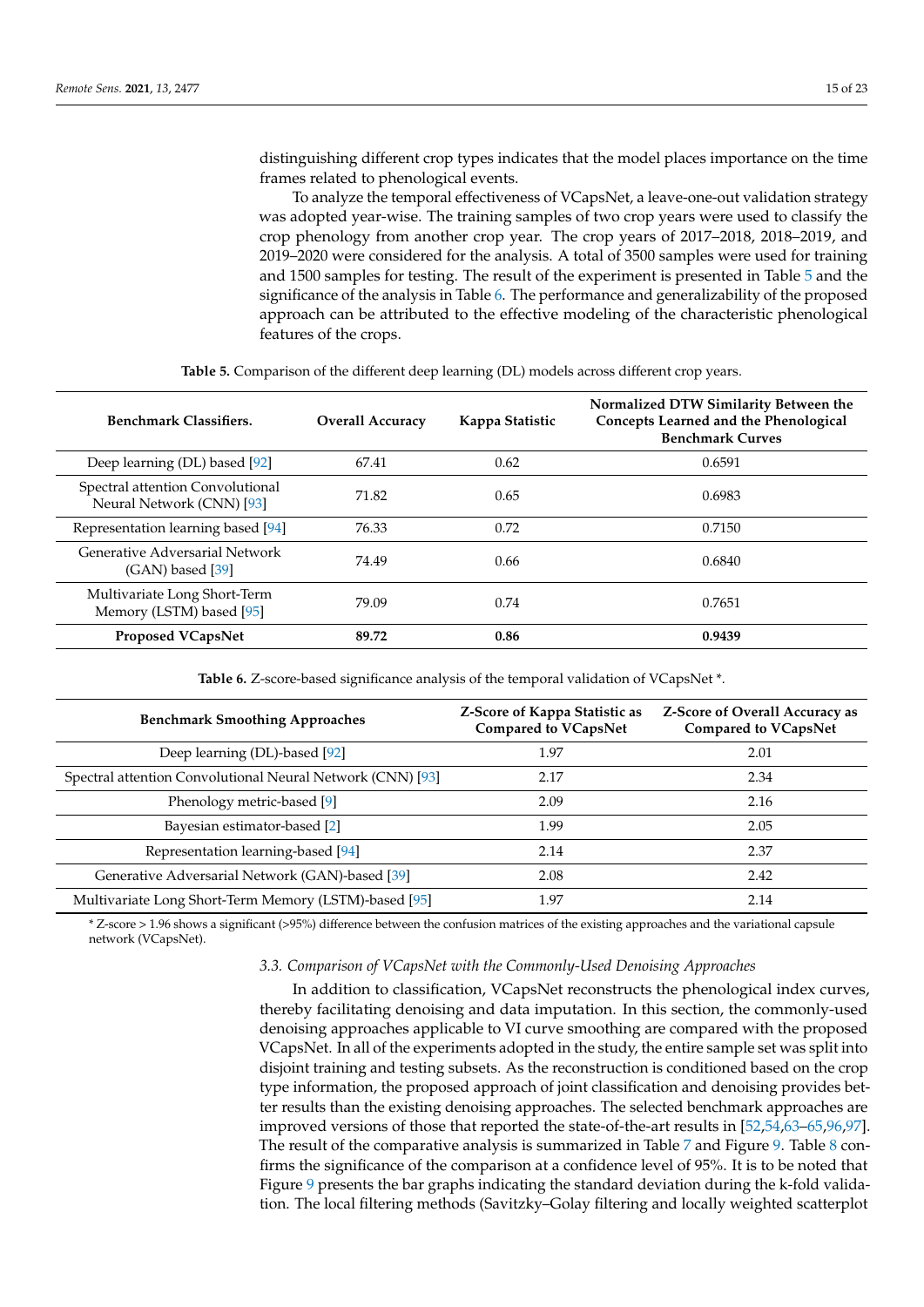distinguishing different crop types indicates that the model places importance on the time frames related to phenological events.

To analyze the temporal effectiveness of VCapsNet, a leave-one-out validation strategy was adopted year-wise. The training samples of two crop years were used to classify the crop phenology from another crop year. The crop years of 2017–2018, 2018–2019, and 2019–2020 were considered for the analysis. A total of 3500 samples were used for training and 1500 samples for testing. The result of the experiment is presented in Table [5](#page-14-0) and the significance of the analysis in Table [6.](#page-14-1) The performance and generalizability of the proposed approach can be attributed to the effective modeling of the characteristic phenological features of the crops.

<span id="page-14-0"></span>

| <b>Benchmark Classifiers.</b>                                 | <b>Overall Accuracy</b> | Kappa Statistic | Normalized DTW Similarity Between the<br>Concepts Learned and the Phenological<br><b>Benchmark Curves</b> |
|---------------------------------------------------------------|-------------------------|-----------------|-----------------------------------------------------------------------------------------------------------|
| Deep learning (DL) based [92]                                 | 67.41                   | 0.62            | 0.6591                                                                                                    |
| Spectral attention Convolutional<br>Neural Network (CNN) [93] | 71.82                   | 0.65            | 0.6983                                                                                                    |
| Representation learning based [94]                            | 76.33                   | 0.72            | 0.7150                                                                                                    |
| Generative Adversarial Network<br>$(GAN)$ based [39]          | 74.49                   | 0.66            | 0.6840                                                                                                    |
| Multivariate Long Short-Term<br>Memory (LSTM) based [95]      | 79.09                   | 0.74            | 0.7651                                                                                                    |
| <b>Proposed VCapsNet</b>                                      | 89.72                   | 0.86            | 0.9439                                                                                                    |

**Table 5.** Comparison of the different deep learning (DL) models across different crop years.

**Table 6.** Z-score-based significance analysis of the temporal validation of VCapsNet \*.

<span id="page-14-1"></span>

| <b>Benchmark Smoothing Approaches</b>                      | Z-Score of Kappa Statistic as<br><b>Compared to VCapsNet</b> | <b>Z-Score of Overall Accuracy as</b><br><b>Compared to VCapsNet</b> |
|------------------------------------------------------------|--------------------------------------------------------------|----------------------------------------------------------------------|
| Deep learning (DL)-based [92]                              | 1.97                                                         | 2.01                                                                 |
| Spectral attention Convolutional Neural Network (CNN) [93] | 2.17                                                         | 2.34                                                                 |
| Phenology metric-based [9]                                 | 2.09                                                         | 2.16                                                                 |
| Bayesian estimator-based [2]                               | 1.99                                                         | 2.05                                                                 |
| Representation learning-based [94]                         | 2.14                                                         | 2.37                                                                 |
| Generative Adversarial Network (GAN)-based [39]            | 2.08                                                         | 2.42                                                                 |
| Multivariate Long Short-Term Memory (LSTM)-based [95]      | 1.97                                                         | 2.14                                                                 |

\* Z-score > 1.96 shows a significant (>95%) difference between the confusion matrices of the existing approaches and the variational capsule network (VCapsNet).

#### *3.3. Comparison of VCapsNet with the Commonly-Used Denoising Approaches*

In addition to classification, VCapsNet reconstructs the phenological index curves, thereby facilitating denoising and data imputation. In this section, the commonly-used denoising approaches applicable to VI curve smoothing are compared with the proposed VCapsNet. In all of the experiments adopted in the study, the entire sample set was split into disjoint training and testing subsets. As the reconstruction is conditioned based on the crop type information, the proposed approach of joint classification and denoising provides better results than the existing denoising approaches. The selected benchmark approaches are improved versions of those that reported the state-of-the-art results in [\[52](#page-20-14)[,54](#page-20-22)[,63](#page-20-18)[–65](#page-20-20)[,96](#page-22-2)[,97\]](#page-22-3). The result of the comparative analysis is summarized in Table [7](#page-15-0) and Figure [9.](#page-15-1) Table [8](#page-16-0) confirms the significance of the comparison at a confidence level of 95%. It is to be noted that Figure [9](#page-15-1) presents the bar graphs indicating the standard deviation during the k-fold validation. The local filtering methods (Savitzky–Golay filtering and locally weighted scatterplot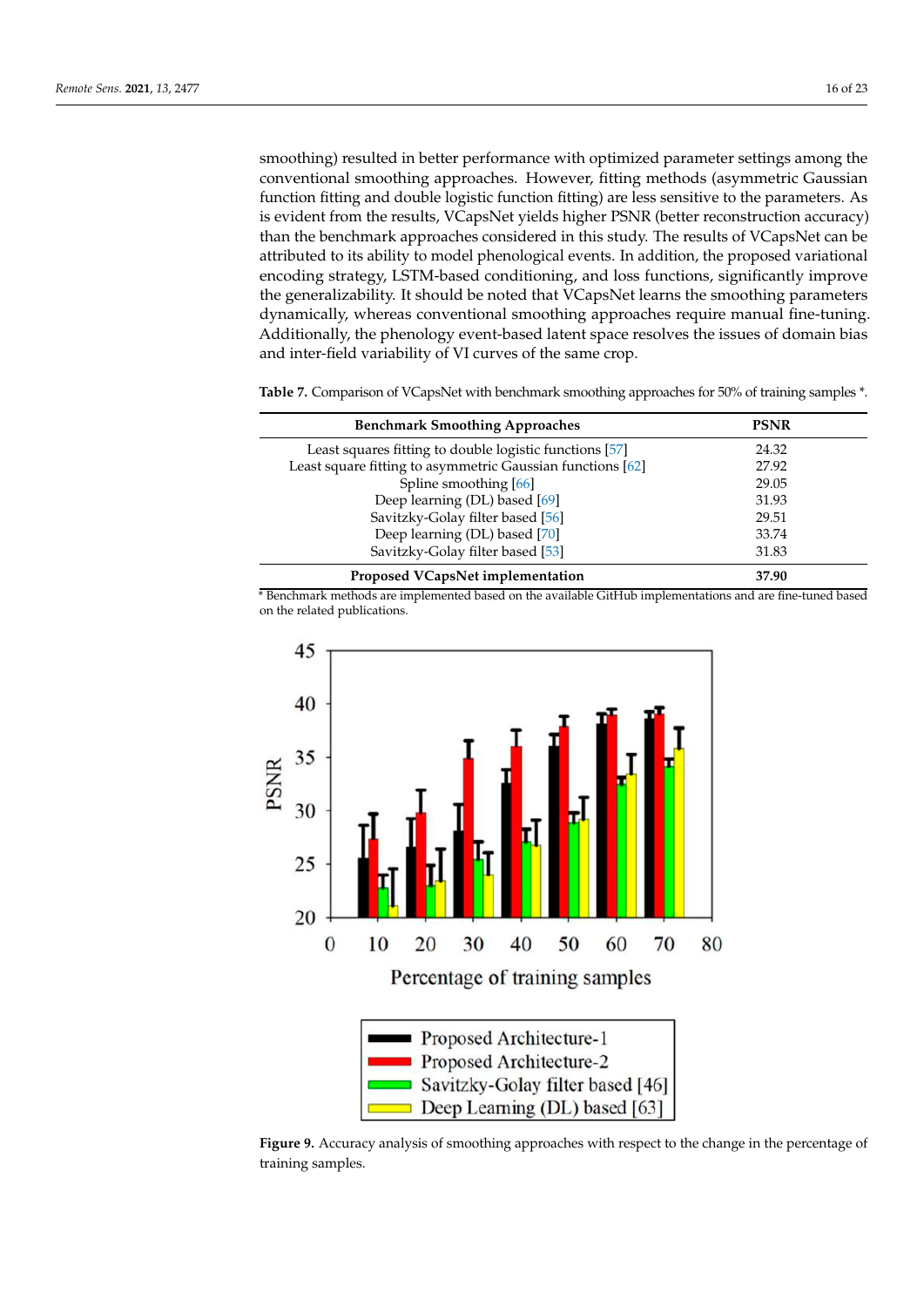smoothing) resulted in better performance with optimized parameter settings among the conventional smoothing approaches. However, fitting methods (asymmetric Gaussian function fitting and double logistic function fitting) are less sensitive to the parameters. As is evident from the results, VCapsNet yields higher PSNR (better reconstruction accuracy) than the benchmark approaches considered in this study. The results of VCapsNet can be attributed to its ability to model phenological events. In addition, the proposed variational encoding strategy, LSTM-based conditioning, and loss functions, significantly improve the generalizability. It should be noted that VCapsNet learns the smoothing parameters dynamically, whereas conventional smoothing approaches require manual fine-tuning. Additionally, the phenology event-based latent space resolves the issues of domain bias and inter-field variability of VI curves of the same crop.

<span id="page-15-0"></span>**Table 7.** Comparison of VCapsNet with benchmark smoothing approaches for 50% of training samples \*.

| <b>Benchmark Smoothing Approaches</b>                      | <b>PSNR</b> |
|------------------------------------------------------------|-------------|
| Least squares fitting to double logistic functions [57]    | 24.32       |
| Least square fitting to asymmetric Gaussian functions [62] | 27.92       |
| Spline smoothing [66]                                      | 29.05       |
| Deep learning (DL) based [69]                              | 31.93       |
| Savitzky-Golay filter based [56]                           | 29.51       |
| Deep learning (DL) based [70]                              | 33.74       |
| Savitzky-Golay filter based [53]                           | 31.83       |
| Proposed VCapsNet implementation                           | 37.90       |

\* Benchmark methods are implemented based on the available GitHub implementations and are fine-tuned based on the related publications.

<span id="page-15-1"></span>

**Figure 9***.* Accuracy analysis of smoothing approaches with respect to the change in the percentage **Figure 9.** Accuracy analysis of smoothing approaches with respect to the change in the percentage of training samples.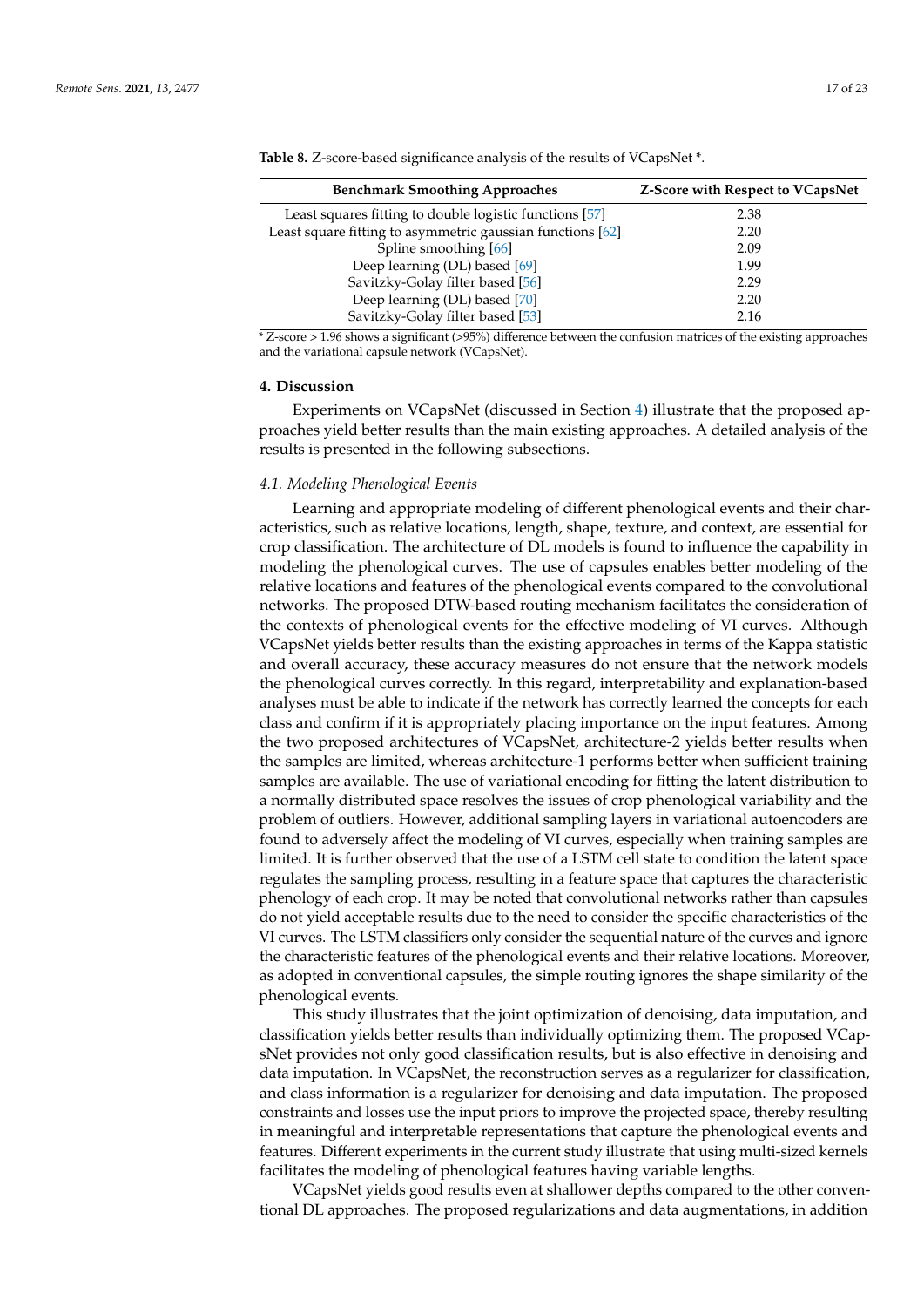| <b>Benchmark Smoothing Approaches</b>                      | <b>Z-Score with Respect to VCapsNet</b> |
|------------------------------------------------------------|-----------------------------------------|
| Least squares fitting to double logistic functions [57]    | 2.38                                    |
| Least square fitting to asymmetric gaussian functions [62] | 2.20                                    |
| Spline smoothing [66]                                      | 2.09                                    |
| Deep learning (DL) based [69]                              | 1.99                                    |
| Savitzky-Golay filter based [56]                           | 2.29                                    |
| Deep learning (DL) based [70]                              | 2.20                                    |
| Savitzky-Golay filter based [53]                           | 2.16                                    |

<span id="page-16-0"></span>**Table 8.** Z-score-based significance analysis of the results of VCapsNet \*.

\* Z-score > 1.96 shows a significant (>95%) difference between the confusion matrices of the existing approaches and the variational capsule network (VCapsNet).

#### <span id="page-16-1"></span>**4. Discussion**

Experiments on VCapsNet (discussed in Section [4\)](#page-16-1) illustrate that the proposed approaches yield better results than the main existing approaches. A detailed analysis of the results is presented in the following subsections.

#### *4.1. Modeling Phenological Events*

Learning and appropriate modeling of different phenological events and their characteristics, such as relative locations, length, shape, texture, and context, are essential for crop classification. The architecture of DL models is found to influence the capability in modeling the phenological curves. The use of capsules enables better modeling of the relative locations and features of the phenological events compared to the convolutional networks. The proposed DTW-based routing mechanism facilitates the consideration of the contexts of phenological events for the effective modeling of VI curves. Although VCapsNet yields better results than the existing approaches in terms of the Kappa statistic and overall accuracy, these accuracy measures do not ensure that the network models the phenological curves correctly. In this regard, interpretability and explanation-based analyses must be able to indicate if the network has correctly learned the concepts for each class and confirm if it is appropriately placing importance on the input features. Among the two proposed architectures of VCapsNet, architecture-2 yields better results when the samples are limited, whereas architecture-1 performs better when sufficient training samples are available. The use of variational encoding for fitting the latent distribution to a normally distributed space resolves the issues of crop phenological variability and the problem of outliers. However, additional sampling layers in variational autoencoders are found to adversely affect the modeling of VI curves, especially when training samples are limited. It is further observed that the use of a LSTM cell state to condition the latent space regulates the sampling process, resulting in a feature space that captures the characteristic phenology of each crop. It may be noted that convolutional networks rather than capsules do not yield acceptable results due to the need to consider the specific characteristics of the VI curves. The LSTM classifiers only consider the sequential nature of the curves and ignore the characteristic features of the phenological events and their relative locations. Moreover, as adopted in conventional capsules, the simple routing ignores the shape similarity of the phenological events.

This study illustrates that the joint optimization of denoising, data imputation, and classification yields better results than individually optimizing them. The proposed VCapsNet provides not only good classification results, but is also effective in denoising and data imputation. In VCapsNet, the reconstruction serves as a regularizer for classification, and class information is a regularizer for denoising and data imputation. The proposed constraints and losses use the input priors to improve the projected space, thereby resulting in meaningful and interpretable representations that capture the phenological events and features. Different experiments in the current study illustrate that using multi-sized kernels facilitates the modeling of phenological features having variable lengths.

VCapsNet yields good results even at shallower depths compared to the other conventional DL approaches. The proposed regularizations and data augmentations, in addition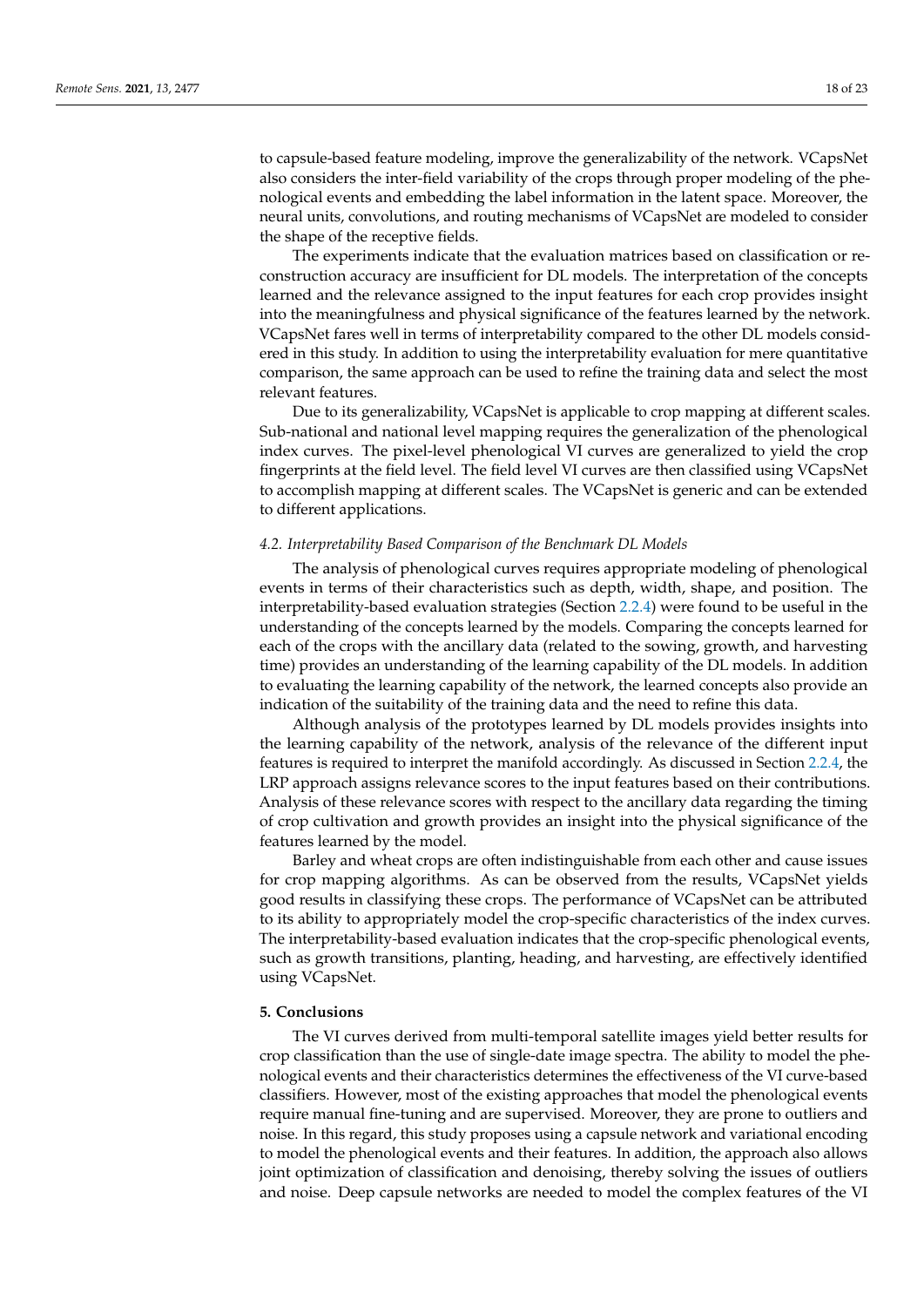to capsule-based feature modeling, improve the generalizability of the network. VCapsNet also considers the inter-field variability of the crops through proper modeling of the phenological events and embedding the label information in the latent space. Moreover, the neural units, convolutions, and routing mechanisms of VCapsNet are modeled to consider the shape of the receptive fields.

The experiments indicate that the evaluation matrices based on classification or reconstruction accuracy are insufficient for DL models. The interpretation of the concepts learned and the relevance assigned to the input features for each crop provides insight into the meaningfulness and physical significance of the features learned by the network. VCapsNet fares well in terms of interpretability compared to the other DL models considered in this study. In addition to using the interpretability evaluation for mere quantitative comparison, the same approach can be used to refine the training data and select the most relevant features.

Due to its generalizability, VCapsNet is applicable to crop mapping at different scales. Sub-national and national level mapping requires the generalization of the phenological index curves. The pixel-level phenological VI curves are generalized to yield the crop fingerprints at the field level. The field level VI curves are then classified using VCapsNet to accomplish mapping at different scales. The VCapsNet is generic and can be extended to different applications.

### *4.2. Interpretability Based Comparison of the Benchmark DL Models*

The analysis of phenological curves requires appropriate modeling of phenological events in terms of their characteristics such as depth, width, shape, and position. The interpretability-based evaluation strategies (Section [2.2.4\)](#page-7-0) were found to be useful in the understanding of the concepts learned by the models. Comparing the concepts learned for each of the crops with the ancillary data (related to the sowing, growth, and harvesting time) provides an understanding of the learning capability of the DL models. In addition to evaluating the learning capability of the network, the learned concepts also provide an indication of the suitability of the training data and the need to refine this data.

Although analysis of the prototypes learned by DL models provides insights into the learning capability of the network, analysis of the relevance of the different input features is required to interpret the manifold accordingly. As discussed in Section [2.2.4,](#page-7-0) the LRP approach assigns relevance scores to the input features based on their contributions. Analysis of these relevance scores with respect to the ancillary data regarding the timing of crop cultivation and growth provides an insight into the physical significance of the features learned by the model.

Barley and wheat crops are often indistinguishable from each other and cause issues for crop mapping algorithms. As can be observed from the results, VCapsNet yields good results in classifying these crops. The performance of VCapsNet can be attributed to its ability to appropriately model the crop-specific characteristics of the index curves. The interpretability-based evaluation indicates that the crop-specific phenological events, such as growth transitions, planting, heading, and harvesting, are effectively identified using VCapsNet.

### **5. Conclusions**

The VI curves derived from multi-temporal satellite images yield better results for crop classification than the use of single-date image spectra. The ability to model the phenological events and their characteristics determines the effectiveness of the VI curve-based classifiers. However, most of the existing approaches that model the phenological events require manual fine-tuning and are supervised. Moreover, they are prone to outliers and noise. In this regard, this study proposes using a capsule network and variational encoding to model the phenological events and their features. In addition, the approach also allows joint optimization of classification and denoising, thereby solving the issues of outliers and noise. Deep capsule networks are needed to model the complex features of the VI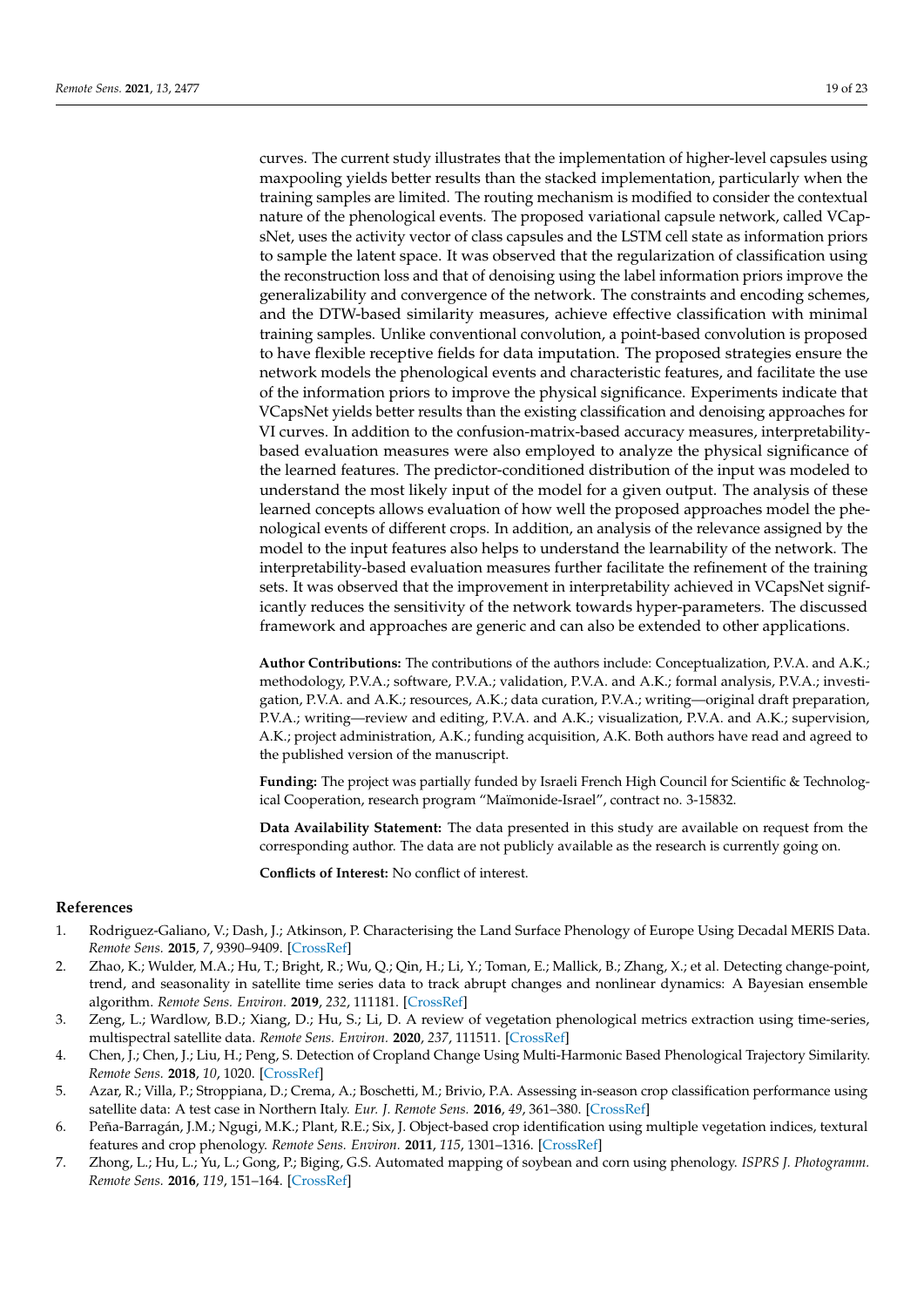curves. The current study illustrates that the implementation of higher-level capsules using maxpooling yields better results than the stacked implementation, particularly when the training samples are limited. The routing mechanism is modified to consider the contextual nature of the phenological events. The proposed variational capsule network, called VCapsNet, uses the activity vector of class capsules and the LSTM cell state as information priors to sample the latent space. It was observed that the regularization of classification using the reconstruction loss and that of denoising using the label information priors improve the generalizability and convergence of the network. The constraints and encoding schemes, and the DTW-based similarity measures, achieve effective classification with minimal training samples. Unlike conventional convolution, a point-based convolution is proposed to have flexible receptive fields for data imputation. The proposed strategies ensure the network models the phenological events and characteristic features, and facilitate the use of the information priors to improve the physical significance. Experiments indicate that VCapsNet yields better results than the existing classification and denoising approaches for VI curves. In addition to the confusion-matrix-based accuracy measures, interpretabilitybased evaluation measures were also employed to analyze the physical significance of the learned features. The predictor-conditioned distribution of the input was modeled to understand the most likely input of the model for a given output. The analysis of these learned concepts allows evaluation of how well the proposed approaches model the phenological events of different crops. In addition, an analysis of the relevance assigned by the model to the input features also helps to understand the learnability of the network. The interpretability-based evaluation measures further facilitate the refinement of the training sets. It was observed that the improvement in interpretability achieved in VCapsNet significantly reduces the sensitivity of the network towards hyper-parameters. The discussed framework and approaches are generic and can also be extended to other applications.

**Author Contributions:** The contributions of the authors include: Conceptualization, P.V.A. and A.K.; methodology, P.V.A.; software, P.V.A.; validation, P.V.A. and A.K.; formal analysis, P.V.A.; investigation, P.V.A. and A.K.; resources, A.K.; data curation, P.V.A.; writing—original draft preparation, P.V.A.; writing—review and editing, P.V.A. and A.K.; visualization, P.V.A. and A.K.; supervision, A.K.; project administration, A.K.; funding acquisition, A.K. Both authors have read and agreed to the published version of the manuscript.

**Funding:** The project was partially funded by Israeli French High Council for Scientific & Technological Cooperation, research program "Maïmonide-Israel", contract no. 3-15832.

**Data Availability Statement:** The data presented in this study are available on request from the corresponding author. The data are not publicly available as the research is currently going on.

**Conflicts of Interest:** No conflict of interest.

## **References**

- <span id="page-18-0"></span>1. Rodriguez-Galiano, V.; Dash, J.; Atkinson, P. Characterising the Land Surface Phenology of Europe Using Decadal MERIS Data. *Remote Sens.* **2015**, *7*, 9390–9409. [\[CrossRef\]](http://doi.org/10.3390/rs70709390)
- <span id="page-18-1"></span>2. Zhao, K.; Wulder, M.A.; Hu, T.; Bright, R.; Wu, Q.; Qin, H.; Li, Y.; Toman, E.; Mallick, B.; Zhang, X.; et al. Detecting change-point, trend, and seasonality in satellite time series data to track abrupt changes and nonlinear dynamics: A Bayesian ensemble algorithm. *Remote Sens. Environ.* **2019**, *232*, 111181. [\[CrossRef\]](http://doi.org/10.1016/j.rse.2019.04.034)
- <span id="page-18-2"></span>3. Zeng, L.; Wardlow, B.D.; Xiang, D.; Hu, S.; Li, D. A review of vegetation phenological metrics extraction using time-series, multispectral satellite data. *Remote Sens. Environ.* **2020**, *237*, 111511. [\[CrossRef\]](http://doi.org/10.1016/j.rse.2019.111511)
- 4. Chen, J.; Chen, J.; Liu, H.; Peng, S. Detection of Cropland Change Using Multi-Harmonic Based Phenological Trajectory Similarity. *Remote Sens.* **2018**, *10*, 1020. [\[CrossRef\]](http://doi.org/10.3390/rs10071020)
- <span id="page-18-3"></span>5. Azar, R.; Villa, P.; Stroppiana, D.; Crema, A.; Boschetti, M.; Brivio, P.A. Assessing in-season crop classification performance using satellite data: A test case in Northern Italy. *Eur. J. Remote Sens.* **2016**, *49*, 361–380. [\[CrossRef\]](http://doi.org/10.5721/EuJRS20164920)
- <span id="page-18-4"></span>6. Peña-Barragán, J.M.; Ngugi, M.K.; Plant, R.E.; Six, J. Object-based crop identification using multiple vegetation indices, textural features and crop phenology. *Remote Sens. Environ.* **2011**, *115*, 1301–1316. [\[CrossRef\]](http://doi.org/10.1016/j.rse.2011.01.009)
- <span id="page-18-5"></span>7. Zhong, L.; Hu, L.; Yu, L.; Gong, P.; Biging, G.S. Automated mapping of soybean and corn using phenology. *ISPRS J. Photogramm. Remote Sens.* **2016**, *119*, 151–164. [\[CrossRef\]](http://doi.org/10.1016/j.isprsjprs.2016.05.014)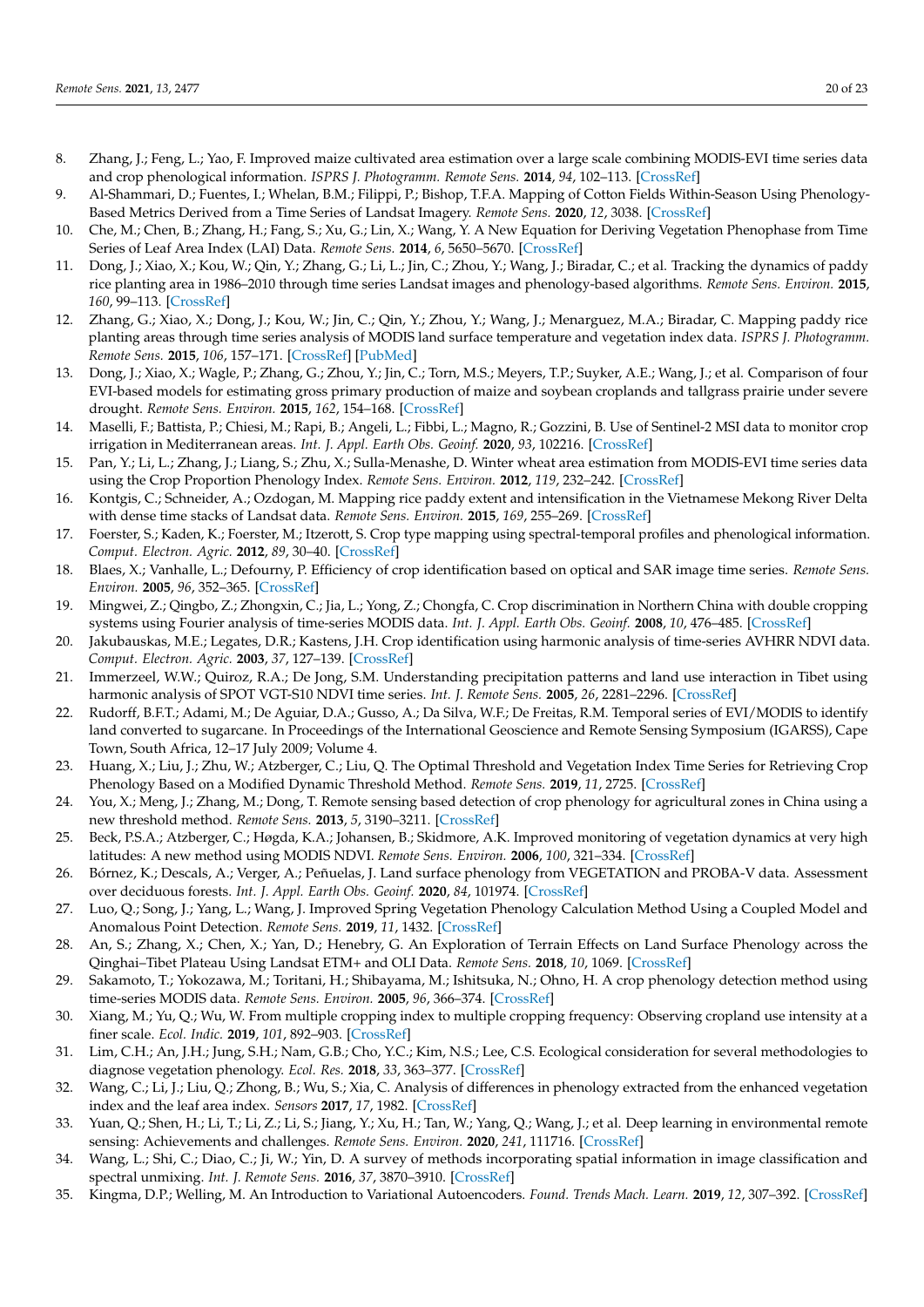- <span id="page-19-0"></span>8. Zhang, J.; Feng, L.; Yao, F. Improved maize cultivated area estimation over a large scale combining MODIS-EVI time series data and crop phenological information. *ISPRS J. Photogramm. Remote Sens.* **2014**, *94*, 102–113. [\[CrossRef\]](http://doi.org/10.1016/j.isprsjprs.2014.04.023)
- <span id="page-19-1"></span>9. Al-Shammari, D.; Fuentes, I.; Whelan, B.M.; Filippi, P.; Bishop, T.F.A. Mapping of Cotton Fields Within-Season Using Phenology-Based Metrics Derived from a Time Series of Landsat Imagery. *Remote Sens.* **2020**, *12*, 3038. [\[CrossRef\]](http://doi.org/10.3390/rs12183038)
- <span id="page-19-2"></span>10. Che, M.; Chen, B.; Zhang, H.; Fang, S.; Xu, G.; Lin, X.; Wang, Y. A New Equation for Deriving Vegetation Phenophase from Time Series of Leaf Area Index (LAI) Data. *Remote Sens.* **2014**, *6*, 5650–5670. [\[CrossRef\]](http://doi.org/10.3390/rs6065650)
- <span id="page-19-3"></span>11. Dong, J.; Xiao, X.; Kou, W.; Qin, Y.; Zhang, G.; Li, L.; Jin, C.; Zhou, Y.; Wang, J.; Biradar, C.; et al. Tracking the dynamics of paddy rice planting area in 1986–2010 through time series Landsat images and phenology-based algorithms. *Remote Sens. Environ.* **2015**, *160*, 99–113. [\[CrossRef\]](http://doi.org/10.1016/j.rse.2015.01.004)
- <span id="page-19-23"></span>12. Zhang, G.; Xiao, X.; Dong, J.; Kou, W.; Jin, C.; Qin, Y.; Zhou, Y.; Wang, J.; Menarguez, M.A.; Biradar, C. Mapping paddy rice planting areas through time series analysis of MODIS land surface temperature and vegetation index data. *ISPRS J. Photogramm. Remote Sens.* **2015**, *106*, 157–171. [\[CrossRef\]](http://doi.org/10.1016/j.isprsjprs.2015.05.011) [\[PubMed\]](http://www.ncbi.nlm.nih.gov/pubmed/27667901)
- <span id="page-19-4"></span>13. Dong, J.; Xiao, X.; Wagle, P.; Zhang, G.; Zhou, Y.; Jin, C.; Torn, M.S.; Meyers, T.P.; Suyker, A.E.; Wang, J.; et al. Comparison of four EVI-based models for estimating gross primary production of maize and soybean croplands and tallgrass prairie under severe drought. *Remote Sens. Environ.* **2015**, *162*, 154–168. [\[CrossRef\]](http://doi.org/10.1016/j.rse.2015.02.022)
- <span id="page-19-5"></span>14. Maselli, F.; Battista, P.; Chiesi, M.; Rapi, B.; Angeli, L.; Fibbi, L.; Magno, R.; Gozzini, B. Use of Sentinel-2 MSI data to monitor crop irrigation in Mediterranean areas. *Int. J. Appl. Earth Obs. Geoinf.* **2020**, *93*, 102216. [\[CrossRef\]](http://doi.org/10.1016/j.jag.2020.102216)
- <span id="page-19-6"></span>15. Pan, Y.; Li, L.; Zhang, J.; Liang, S.; Zhu, X.; Sulla-Menashe, D. Winter wheat area estimation from MODIS-EVI time series data using the Crop Proportion Phenology Index. *Remote Sens. Environ.* **2012**, *119*, 232–242. [\[CrossRef\]](http://doi.org/10.1016/j.rse.2011.10.011)
- <span id="page-19-7"></span>16. Kontgis, C.; Schneider, A.; Ozdogan, M. Mapping rice paddy extent and intensification in the Vietnamese Mekong River Delta with dense time stacks of Landsat data. *Remote Sens. Environ.* **2015**, *169*, 255–269. [\[CrossRef\]](http://doi.org/10.1016/j.rse.2015.08.004)
- <span id="page-19-8"></span>17. Foerster, S.; Kaden, K.; Foerster, M.; Itzerott, S. Crop type mapping using spectral-temporal profiles and phenological information. *Comput. Electron. Agric.* **2012**, *89*, 30–40. [\[CrossRef\]](http://doi.org/10.1016/j.compag.2012.07.015)
- <span id="page-19-9"></span>18. Blaes, X.; Vanhalle, L.; Defourny, P. Efficiency of crop identification based on optical and SAR image time series. *Remote Sens. Environ.* **2005**, *96*, 352–365. [\[CrossRef\]](http://doi.org/10.1016/j.rse.2005.03.010)
- <span id="page-19-11"></span>19. Mingwei, Z.; Qingbo, Z.; Zhongxin, C.; Jia, L.; Yong, Z.; Chongfa, C. Crop discrimination in Northern China with double cropping systems using Fourier analysis of time-series MODIS data. *Int. J. Appl. Earth Obs. Geoinf.* **2008**, *10*, 476–485. [\[CrossRef\]](http://doi.org/10.1016/j.jag.2007.11.002)
- 20. Jakubauskas, M.E.; Legates, D.R.; Kastens, J.H. Crop identification using harmonic analysis of time-series AVHRR NDVI data. *Comput. Electron. Agric.* **2003**, *37*, 127–139. [\[CrossRef\]](http://doi.org/10.1016/S0168-1699(02)00116-3)
- <span id="page-19-12"></span>21. Immerzeel, W.W.; Quiroz, R.A.; De Jong, S.M. Understanding precipitation patterns and land use interaction in Tibet using harmonic analysis of SPOT VGT-S10 NDVI time series. *Int. J. Remote Sens.* **2005**, *26*, 2281–2296. [\[CrossRef\]](http://doi.org/10.1080/01431160512331326611)
- <span id="page-19-10"></span>22. Rudorff, B.F.T.; Adami, M.; De Aguiar, D.A.; Gusso, A.; Da Silva, W.F.; De Freitas, R.M. Temporal series of EVI/MODIS to identify land converted to sugarcane. In Proceedings of the International Geoscience and Remote Sensing Symposium (IGARSS), Cape Town, South Africa, 12–17 July 2009; Volume 4.
- <span id="page-19-13"></span>23. Huang, X.; Liu, J.; Zhu, W.; Atzberger, C.; Liu, Q. The Optimal Threshold and Vegetation Index Time Series for Retrieving Crop Phenology Based on a Modified Dynamic Threshold Method. *Remote Sens.* **2019**, *11*, 2725. [\[CrossRef\]](http://doi.org/10.3390/rs11232725)
- <span id="page-19-17"></span>24. You, X.; Meng, J.; Zhang, M.; Dong, T. Remote sensing based detection of crop phenology for agricultural zones in China using a new threshold method. *Remote Sens.* **2013**, *5*, 3190–3211. [\[CrossRef\]](http://doi.org/10.3390/rs5073190)
- 25. Beck, P.S.A.; Atzberger, C.; Høgda, K.A.; Johansen, B.; Skidmore, A.K. Improved monitoring of vegetation dynamics at very high latitudes: A new method using MODIS NDVI. *Remote Sens. Environ.* **2006**, *100*, 321–334. [\[CrossRef\]](http://doi.org/10.1016/j.rse.2005.10.021)
- <span id="page-19-14"></span>26. Bórnez, K.; Descals, A.; Verger, A.; Peñuelas, J. Land surface phenology from VEGETATION and PROBA-V data. Assessment over deciduous forests. *Int. J. Appl. Earth Obs. Geoinf.* **2020**, *84*, 101974. [\[CrossRef\]](http://doi.org/10.1016/j.jag.2019.101974)
- <span id="page-19-15"></span>27. Luo, Q.; Song, J.; Yang, L.; Wang, J. Improved Spring Vegetation Phenology Calculation Method Using a Coupled Model and Anomalous Point Detection. *Remote Sens.* **2019**, *11*, 1432. [\[CrossRef\]](http://doi.org/10.3390/rs11121432)
- 28. An, S.; Zhang, X.; Chen, X.; Yan, D.; Henebry, G. An Exploration of Terrain Effects on Land Surface Phenology across the Qinghai–Tibet Plateau Using Landsat ETM+ and OLI Data. *Remote Sens.* **2018**, *10*, 1069. [\[CrossRef\]](http://doi.org/10.3390/rs10071069)
- <span id="page-19-16"></span>29. Sakamoto, T.; Yokozawa, M.; Toritani, H.; Shibayama, M.; Ishitsuka, N.; Ohno, H. A crop phenology detection method using time-series MODIS data. *Remote Sens. Environ.* **2005**, *96*, 366–374. [\[CrossRef\]](http://doi.org/10.1016/j.rse.2005.03.008)
- <span id="page-19-18"></span>30. Xiang, M.; Yu, Q.; Wu, W. From multiple cropping index to multiple cropping frequency: Observing cropland use intensity at a finer scale. *Ecol. Indic.* **2019**, *101*, 892–903. [\[CrossRef\]](http://doi.org/10.1016/j.ecolind.2019.01.081)
- 31. Lim, C.H.; An, J.H.; Jung, S.H.; Nam, G.B.; Cho, Y.C.; Kim, N.S.; Lee, C.S. Ecological consideration for several methodologies to diagnose vegetation phenology. *Ecol. Res.* **2018**, *33*, 363–377. [\[CrossRef\]](http://doi.org/10.1007/s11284-017-1551-3)
- <span id="page-19-19"></span>32. Wang, C.; Li, J.; Liu, Q.; Zhong, B.; Wu, S.; Xia, C. Analysis of differences in phenology extracted from the enhanced vegetation index and the leaf area index. *Sensors* **2017**, *17*, 1982. [\[CrossRef\]](http://doi.org/10.3390/s17091982)
- <span id="page-19-20"></span>33. Yuan, Q.; Shen, H.; Li, T.; Li, Z.; Li, S.; Jiang, Y.; Xu, H.; Tan, W.; Yang, Q.; Wang, J.; et al. Deep learning in environmental remote sensing: Achievements and challenges. *Remote Sens. Environ.* **2020**, *241*, 111716. [\[CrossRef\]](http://doi.org/10.1016/j.rse.2020.111716)
- <span id="page-19-21"></span>34. Wang, L.; Shi, C.; Diao, C.; Ji, W.; Yin, D. A survey of methods incorporating spatial information in image classification and spectral unmixing. *Int. J. Remote Sens.* **2016**, *37*, 3870–3910. [\[CrossRef\]](http://doi.org/10.1080/01431161.2016.1204032)
- <span id="page-19-22"></span>35. Kingma, D.P.; Welling, M. An Introduction to Variational Autoencoders. *Found. Trends Mach. Learn.* **2019**, *12*, 307–392. [\[CrossRef\]](http://doi.org/10.1561/2200000056)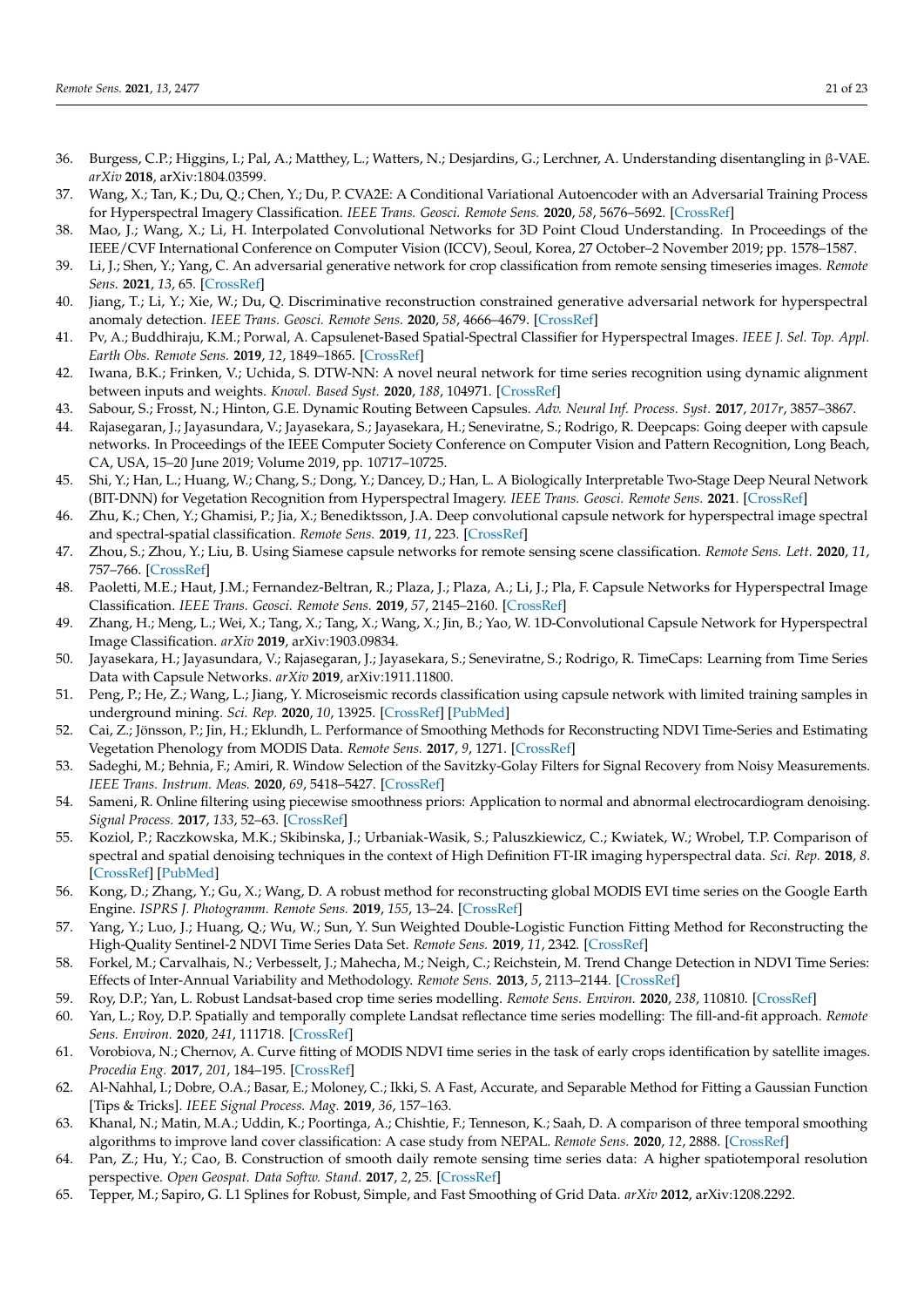- <span id="page-20-0"></span>36. Burgess, C.P.; Higgins, I.; Pal, A.; Matthey, L.; Watters, N.; Desjardins, G.; Lerchner, A. Understanding disentangling in β-VAE. *arXiv* **2018**, arXiv:1804.03599.
- <span id="page-20-1"></span>37. Wang, X.; Tan, K.; Du, Q.; Chen, Y.; Du, P. CVA2E: A Conditional Variational Autoencoder with an Adversarial Training Process for Hyperspectral Imagery Classification. *IEEE Trans. Geosci. Remote Sens.* **2020**, *58*, 5676–5692. [\[CrossRef\]](http://doi.org/10.1109/TGRS.2020.2968304)
- <span id="page-20-2"></span>38. Mao, J.; Wang, X.; Li, H. Interpolated Convolutional Networks for 3D Point Cloud Understanding. In Proceedings of the IEEE/CVF International Conference on Computer Vision (ICCV), Seoul, Korea, 27 October–2 November 2019; pp. 1578–1587.
- <span id="page-20-3"></span>39. Li, J.; Shen, Y.; Yang, C. An adversarial generative network for crop classification from remote sensing timeseries images. *Remote Sens.* **2021**, *13*, 65. [\[CrossRef\]](http://doi.org/10.3390/rs13010065)
- <span id="page-20-4"></span>40. Jiang, T.; Li, Y.; Xie, W.; Du, Q. Discriminative reconstruction constrained generative adversarial network for hyperspectral anomaly detection. *IEEE Trans. Geosci. Remote Sens.* **2020**, *58*, 4666–4679. [\[CrossRef\]](http://doi.org/10.1109/TGRS.2020.2965961)
- <span id="page-20-5"></span>41. Pv, A.; Buddhiraju, K.M.; Porwal, A. Capsulenet-Based Spatial-Spectral Classifier for Hyperspectral Images. *IEEE J. Sel. Top. Appl. Earth Obs. Remote Sens.* **2019**, *12*, 1849–1865. [\[CrossRef\]](http://doi.org/10.1109/JSTARS.2019.2913097)
- <span id="page-20-6"></span>42. Iwana, B.K.; Frinken, V.; Uchida, S. DTW-NN: A novel neural network for time series recognition using dynamic alignment between inputs and weights. *Knowl. Based Syst.* **2020**, *188*, 104971. [\[CrossRef\]](http://doi.org/10.1016/j.knosys.2019.104971)
- <span id="page-20-7"></span>43. Sabour, S.; Frosst, N.; Hinton, G.E. Dynamic Routing Between Capsules. *Adv. Neural Inf. Process. Syst.* **2017**, *2017r*, 3857–3867.
- <span id="page-20-8"></span>44. Rajasegaran, J.; Jayasundara, V.; Jayasekara, S.; Jayasekara, H.; Seneviratne, S.; Rodrigo, R. Deepcaps: Going deeper with capsule networks. In Proceedings of the IEEE Computer Society Conference on Computer Vision and Pattern Recognition, Long Beach, CA, USA, 15–20 June 2019; Volume 2019, pp. 10717–10725.
- <span id="page-20-9"></span>45. Shi, Y.; Han, L.; Huang, W.; Chang, S.; Dong, Y.; Dancey, D.; Han, L. A Biologically Interpretable Two-Stage Deep Neural Network (BIT-DNN) for Vegetation Recognition from Hyperspectral Imagery. *IEEE Trans. Geosci. Remote Sens.* **2021**. [\[CrossRef\]](http://doi.org/10.1109/TGRS.2021.3058782)
- <span id="page-20-10"></span>46. Zhu, K.; Chen, Y.; Ghamisi, P.; Jia, X.; Benediktsson, J.A. Deep convolutional capsule network for hyperspectral image spectral and spectral-spatial classification. *Remote Sens.* **2019**, *11*, 223. [\[CrossRef\]](http://doi.org/10.3390/rs11030223)
- 47. Zhou, S.; Zhou, Y.; Liu, B. Using Siamese capsule networks for remote sensing scene classification. *Remote Sens. Lett.* **2020**, *11*, 757–766. [\[CrossRef\]](http://doi.org/10.1080/2150704X.2020.1766722)
- 48. Paoletti, M.E.; Haut, J.M.; Fernandez-Beltran, R.; Plaza, J.; Plaza, A.; Li, J.; Pla, F. Capsule Networks for Hyperspectral Image Classification. *IEEE Trans. Geosci. Remote Sens.* **2019**, *57*, 2145–2160. [\[CrossRef\]](http://doi.org/10.1109/TGRS.2018.2871782)
- <span id="page-20-11"></span>49. Zhang, H.; Meng, L.; Wei, X.; Tang, X.; Tang, X.; Wang, X.; Jin, B.; Yao, W. 1D-Convolutional Capsule Network for Hyperspectral Image Classification. *arXiv* **2019**, arXiv:1903.09834.
- <span id="page-20-12"></span>50. Jayasekara, H.; Jayasundara, V.; Rajasegaran, J.; Jayasekara, S.; Seneviratne, S.; Rodrigo, R. TimeCaps: Learning from Time Series Data with Capsule Networks. *arXiv* **2019**, arXiv:1911.11800.
- <span id="page-20-13"></span>51. Peng, P.; He, Z.; Wang, L.; Jiang, Y. Microseismic records classification using capsule network with limited training samples in underground mining. *Sci. Rep.* **2020**, *10*, 13925. [\[CrossRef\]](http://doi.org/10.1038/s41598-020-70916-z) [\[PubMed\]](http://www.ncbi.nlm.nih.gov/pubmed/32811883)
- <span id="page-20-14"></span>52. Cai, Z.; Jönsson, P.; Jin, H.; Eklundh, L. Performance of Smoothing Methods for Reconstructing NDVI Time-Series and Estimating Vegetation Phenology from MODIS Data. *Remote Sens.* **2017**, *9*, 1271. [\[CrossRef\]](http://doi.org/10.3390/rs9121271)
- <span id="page-20-15"></span>53. Sadeghi, M.; Behnia, F.; Amiri, R. Window Selection of the Savitzky-Golay Filters for Signal Recovery from Noisy Measurements. *IEEE Trans. Instrum. Meas.* **2020**, *69*, 5418–5427. [\[CrossRef\]](http://doi.org/10.1109/TIM.2020.2966310)
- <span id="page-20-22"></span>54. Sameni, R. Online filtering using piecewise smoothness priors: Application to normal and abnormal electrocardiogram denoising. *Signal Process.* **2017**, *133*, 52–63. [\[CrossRef\]](http://doi.org/10.1016/j.sigpro.2016.10.019)
- 55. Koziol, P.; Raczkowska, M.K.; Skibinska, J.; Urbaniak-Wasik, S.; Paluszkiewicz, C.; Kwiatek, W.; Wrobel, T.P. Comparison of spectral and spatial denoising techniques in the context of High Definition FT-IR imaging hyperspectral data. *Sci. Rep.* **2018**, *8*. [\[CrossRef\]](http://doi.org/10.1038/s41598-018-32713-7) [\[PubMed\]](http://www.ncbi.nlm.nih.gov/pubmed/30254229)
- <span id="page-20-21"></span>56. Kong, D.; Zhang, Y.; Gu, X.; Wang, D. A robust method for reconstructing global MODIS EVI time series on the Google Earth Engine. *ISPRS J. Photogramm. Remote Sens.* **2019**, *155*, 13–24. [\[CrossRef\]](http://doi.org/10.1016/j.isprsjprs.2019.06.014)
- <span id="page-20-16"></span>57. Yang, Y.; Luo, J.; Huang, Q.; Wu, W.; Sun, Y. Sun Weighted Double-Logistic Function Fitting Method for Reconstructing the High-Quality Sentinel-2 NDVI Time Series Data Set. *Remote Sens.* **2019**, *11*, 2342. [\[CrossRef\]](http://doi.org/10.3390/rs11202342)
- 58. Forkel, M.; Carvalhais, N.; Verbesselt, J.; Mahecha, M.; Neigh, C.; Reichstein, M. Trend Change Detection in NDVI Time Series: Effects of Inter-Annual Variability and Methodology. *Remote Sens.* **2013**, *5*, 2113–2144. [\[CrossRef\]](http://doi.org/10.3390/rs5052113)
- 59. Roy, D.P.; Yan, L. Robust Landsat-based crop time series modelling. *Remote Sens. Environ.* **2020**, *238*, 110810. [\[CrossRef\]](http://doi.org/10.1016/j.rse.2018.06.038)
- 60. Yan, L.; Roy, D.P. Spatially and temporally complete Landsat reflectance time series modelling: The fill-and-fit approach. *Remote Sens. Environ.* **2020**, *241*, 111718. [\[CrossRef\]](http://doi.org/10.1016/j.rse.2020.111718)
- 61. Vorobiova, N.; Chernov, A. Curve fitting of MODIS NDVI time series in the task of early crops identification by satellite images. *Procedia Eng.* **2017**, *201*, 184–195. [\[CrossRef\]](http://doi.org/10.1016/j.proeng.2017.09.596)
- <span id="page-20-17"></span>62. Al-Nahhal, I.; Dobre, O.A.; Basar, E.; Moloney, C.; Ikki, S. A Fast, Accurate, and Separable Method for Fitting a Gaussian Function [Tips & Tricks]. *IEEE Signal Process. Mag.* **2019**, *36*, 157–163.
- <span id="page-20-18"></span>63. Khanal, N.; Matin, M.A.; Uddin, K.; Poortinga, A.; Chishtie, F.; Tenneson, K.; Saah, D. A comparison of three temporal smoothing algorithms to improve land cover classification: A case study from NEPAL. *Remote Sens.* **2020**, *12*, 2888. [\[CrossRef\]](http://doi.org/10.3390/rs12182888)
- <span id="page-20-19"></span>64. Pan, Z.; Hu, Y.; Cao, B. Construction of smooth daily remote sensing time series data: A higher spatiotemporal resolution perspective. *Open Geospat. Data Softw. Stand.* **2017**, *2*, 25. [\[CrossRef\]](http://doi.org/10.1186/s40965-017-0038-z)
- <span id="page-20-20"></span>65. Tepper, M.; Sapiro, G. L1 Splines for Robust, Simple, and Fast Smoothing of Grid Data. *arXiv* **2012**, arXiv:1208.2292.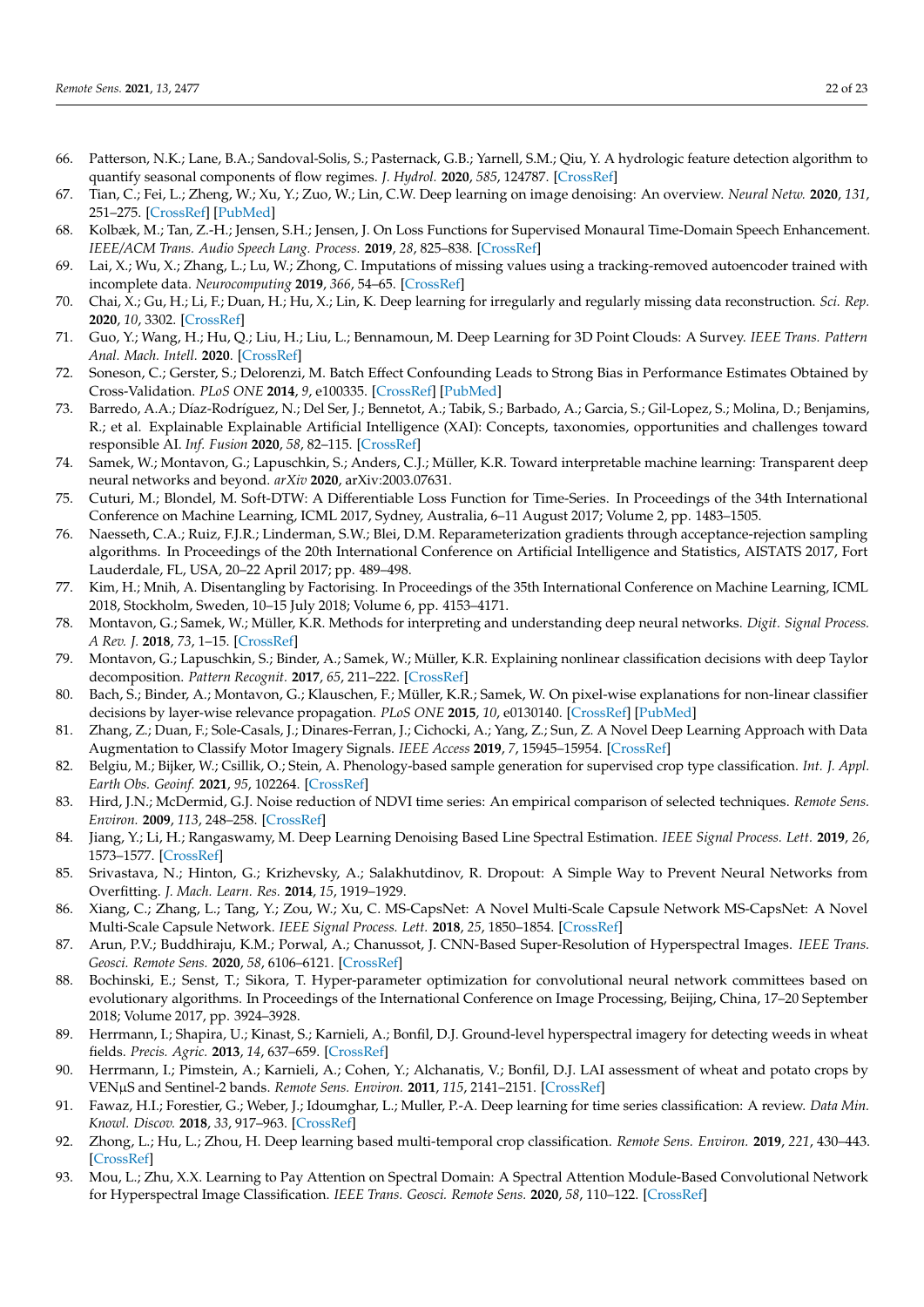- <span id="page-21-0"></span>66. Patterson, N.K.; Lane, B.A.; Sandoval-Solis, S.; Pasternack, G.B.; Yarnell, S.M.; Qiu, Y. A hydrologic feature detection algorithm to quantify seasonal components of flow regimes. *J. Hydrol.* **2020**, *585*, 124787. [\[CrossRef\]](http://doi.org/10.1016/j.jhydrol.2020.124787)
- <span id="page-21-1"></span>67. Tian, C.; Fei, L.; Zheng, W.; Xu, Y.; Zuo, W.; Lin, C.W. Deep learning on image denoising: An overview. *Neural Netw.* **2020**, *131*, 251–275. [\[CrossRef\]](http://doi.org/10.1016/j.neunet.2020.07.025) [\[PubMed\]](http://www.ncbi.nlm.nih.gov/pubmed/32829002)
- 68. Kolbæk, M.; Tan, Z.-H.; Jensen, S.H.; Jensen, J. On Loss Functions for Supervised Monaural Time-Domain Speech Enhancement. *IEEE/ACM Trans. Audio Speech Lang. Process.* **2019**, *28*, 825–838. [\[CrossRef\]](http://doi.org/10.1109/TASLP.2020.2968738)
- <span id="page-21-2"></span>69. Lai, X.; Wu, X.; Zhang, L.; Lu, W.; Zhong, C. Imputations of missing values using a tracking-removed autoencoder trained with incomplete data. *Neurocomputing* **2019**, *366*, 54–65. [\[CrossRef\]](http://doi.org/10.1016/j.neucom.2019.07.066)
- <span id="page-21-3"></span>70. Chai, X.; Gu, H.; Li, F.; Duan, H.; Hu, X.; Lin, K. Deep learning for irregularly and regularly missing data reconstruction. *Sci. Rep.* **2020**, *10*, 3302. [\[CrossRef\]](http://doi.org/10.1038/s41598-020-59801-x)
- <span id="page-21-4"></span>71. Guo, Y.; Wang, H.; Hu, Q.; Liu, H.; Liu, L.; Bennamoun, M. Deep Learning for 3D Point Clouds: A Survey. *IEEE Trans. Pattern Anal. Mach. Intell.* **2020**. [\[CrossRef\]](http://doi.org/10.1109/TPAMI.2020.3005434)
- <span id="page-21-5"></span>72. Soneson, C.; Gerster, S.; Delorenzi, M. Batch Effect Confounding Leads to Strong Bias in Performance Estimates Obtained by Cross-Validation. *PLoS ONE* **2014**, *9*, e100335. [\[CrossRef\]](http://doi.org/10.1371/journal.pone.0100335) [\[PubMed\]](http://www.ncbi.nlm.nih.gov/pubmed/24967636)
- 73. Barredo, A.A.; Díaz-Rodríguez, N.; Del Ser, J.; Bennetot, A.; Tabik, S.; Barbado, A.; Garcia, S.; Gil-Lopez, S.; Molina, D.; Benjamins, R.; et al. Explainable Explainable Artificial Intelligence (XAI): Concepts, taxonomies, opportunities and challenges toward responsible AI. *Inf. Fusion* **2020**, *58*, 82–115. [\[CrossRef\]](http://doi.org/10.1016/j.inffus.2019.12.012)
- <span id="page-21-6"></span>74. Samek, W.; Montavon, G.; Lapuschkin, S.; Anders, C.J.; Müller, K.R. Toward interpretable machine learning: Transparent deep neural networks and beyond. *arXiv* **2020**, arXiv:2003.07631.
- <span id="page-21-7"></span>75. Cuturi, M.; Blondel, M. Soft-DTW: A Differentiable Loss Function for Time-Series. In Proceedings of the 34th International Conference on Machine Learning, ICML 2017, Sydney, Australia, 6–11 August 2017; Volume 2, pp. 1483–1505.
- <span id="page-21-8"></span>76. Naesseth, C.A.; Ruiz, F.J.R.; Linderman, S.W.; Blei, D.M. Reparameterization gradients through acceptance-rejection sampling algorithms. In Proceedings of the 20th International Conference on Artificial Intelligence and Statistics, AISTATS 2017, Fort Lauderdale, FL, USA, 20–22 April 2017; pp. 489–498.
- <span id="page-21-9"></span>77. Kim, H.; Mnih, A. Disentangling by Factorising. In Proceedings of the 35th International Conference on Machine Learning, ICML 2018, Stockholm, Sweden, 10–15 July 2018; Volume 6, pp. 4153–4171.
- <span id="page-21-10"></span>78. Montavon, G.; Samek, W.; Müller, K.R. Methods for interpreting and understanding deep neural networks. *Digit. Signal Process. A Rev. J.* **2018**, *73*, 1–15. [\[CrossRef\]](http://doi.org/10.1016/j.dsp.2017.10.011)
- <span id="page-21-11"></span>79. Montavon, G.; Lapuschkin, S.; Binder, A.; Samek, W.; Müller, K.R. Explaining nonlinear classification decisions with deep Taylor decomposition. *Pattern Recognit.* **2017**, *65*, 211–222. [\[CrossRef\]](http://doi.org/10.1016/j.patcog.2016.11.008)
- <span id="page-21-12"></span>80. Bach, S.; Binder, A.; Montavon, G.; Klauschen, F.; Müller, K.R.; Samek, W. On pixel-wise explanations for non-linear classifier decisions by layer-wise relevance propagation. *PLoS ONE* **2015**, *10*, e0130140. [\[CrossRef\]](http://doi.org/10.1371/journal.pone.0130140) [\[PubMed\]](http://www.ncbi.nlm.nih.gov/pubmed/26161953)
- <span id="page-21-13"></span>81. Zhang, Z.; Duan, F.; Sole-Casals, J.; Dinares-Ferran, J.; Cichocki, A.; Yang, Z.; Sun, Z. A Novel Deep Learning Approach with Data Augmentation to Classify Motor Imagery Signals. *IEEE Access* **2019**, *7*, 15945–15954. [\[CrossRef\]](http://doi.org/10.1109/ACCESS.2019.2895133)
- <span id="page-21-14"></span>82. Belgiu, M.; Bijker, W.; Csillik, O.; Stein, A. Phenology-based sample generation for supervised crop type classification. *Int. J. Appl. Earth Obs. Geoinf.* **2021**, *95*, 102264. [\[CrossRef\]](http://doi.org/10.1016/j.jag.2020.102264)
- <span id="page-21-15"></span>83. Hird, J.N.; McDermid, G.J. Noise reduction of NDVI time series: An empirical comparison of selected techniques. *Remote Sens. Environ.* **2009**, *113*, 248–258. [\[CrossRef\]](http://doi.org/10.1016/j.rse.2008.09.003)
- <span id="page-21-16"></span>84. Jiang, Y.; Li, H.; Rangaswamy, M. Deep Learning Denoising Based Line Spectral Estimation. *IEEE Signal Process. Lett.* **2019**, *26*, 1573–1577. [\[CrossRef\]](http://doi.org/10.1109/LSP.2019.2939049)
- <span id="page-21-17"></span>85. Srivastava, N.; Hinton, G.; Krizhevsky, A.; Salakhutdinov, R. Dropout: A Simple Way to Prevent Neural Networks from Overfitting. *J. Mach. Learn. Res.* **2014**, *15*, 1919–1929.
- <span id="page-21-18"></span>86. Xiang, C.; Zhang, L.; Tang, Y.; Zou, W.; Xu, C. MS-CapsNet: A Novel Multi-Scale Capsule Network MS-CapsNet: A Novel Multi-Scale Capsule Network. *IEEE Signal Process. Lett.* **2018**, *25*, 1850–1854. [\[CrossRef\]](http://doi.org/10.1109/LSP.2018.2873892)
- <span id="page-21-19"></span>87. Arun, P.V.; Buddhiraju, K.M.; Porwal, A.; Chanussot, J. CNN-Based Super-Resolution of Hyperspectral Images. *IEEE Trans. Geosci. Remote Sens.* **2020**, *58*, 6106–6121. [\[CrossRef\]](http://doi.org/10.1109/TGRS.2020.2973370)
- <span id="page-21-20"></span>88. Bochinski, E.; Senst, T.; Sikora, T. Hyper-parameter optimization for convolutional neural network committees based on evolutionary algorithms. In Proceedings of the International Conference on Image Processing, Beijing, China, 17–20 September 2018; Volume 2017, pp. 3924–3928.
- <span id="page-21-21"></span>89. Herrmann, I.; Shapira, U.; Kinast, S.; Karnieli, A.; Bonfil, D.J. Ground-level hyperspectral imagery for detecting weeds in wheat fields. *Precis. Agric.* **2013**, *14*, 637–659. [\[CrossRef\]](http://doi.org/10.1007/s11119-013-9321-x)
- <span id="page-21-22"></span>90. Herrmann, I.; Pimstein, A.; Karnieli, A.; Cohen, Y.; Alchanatis, V.; Bonfil, D.J. LAI assessment of wheat and potato crops by VENµS and Sentinel-2 bands. *Remote Sens. Environ.* **2011**, *115*, 2141–2151. [\[CrossRef\]](http://doi.org/10.1016/j.rse.2011.04.018)
- <span id="page-21-23"></span>91. Fawaz, H.I.; Forestier, G.; Weber, J.; Idoumghar, L.; Muller, P.-A. Deep learning for time series classification: A review. *Data Min. Knowl. Discov.* **2018**, *33*, 917–963. [\[CrossRef\]](http://doi.org/10.1007/s10618-019-00619-1)
- <span id="page-21-24"></span>92. Zhong, L.; Hu, L.; Zhou, H. Deep learning based multi-temporal crop classification. *Remote Sens. Environ.* **2019**, *221*, 430–443. [\[CrossRef\]](http://doi.org/10.1016/j.rse.2018.11.032)
- <span id="page-21-25"></span>93. Mou, L.; Zhu, X.X. Learning to Pay Attention on Spectral Domain: A Spectral Attention Module-Based Convolutional Network for Hyperspectral Image Classification. *IEEE Trans. Geosci. Remote Sens.* **2020**, *58*, 110–122. [\[CrossRef\]](http://doi.org/10.1109/TGRS.2019.2933609)